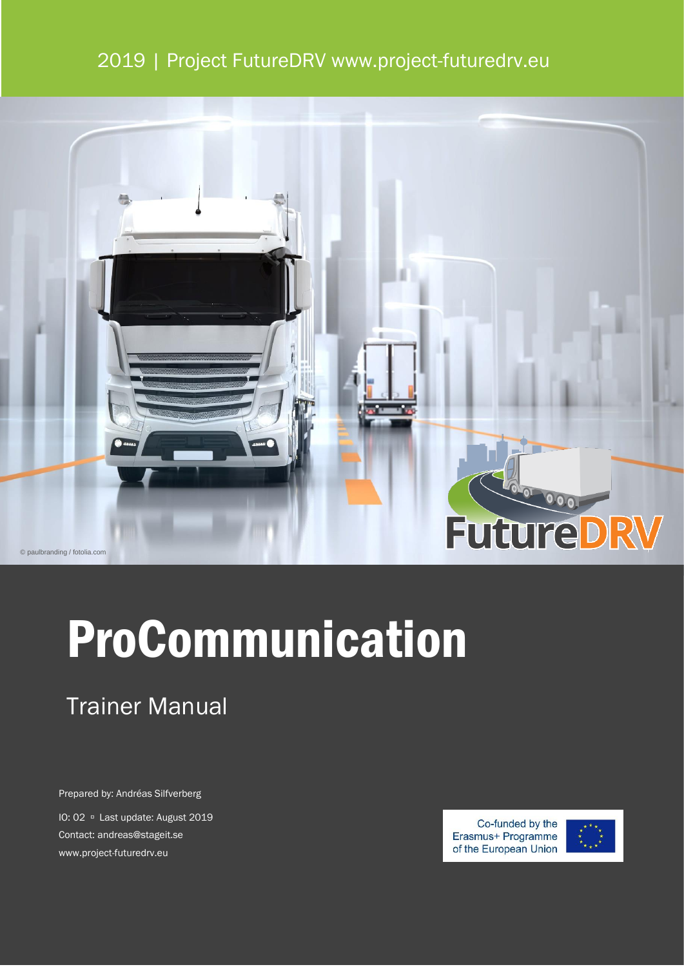## 2019 | Project FutureDRV www.project-futuredrv.eu



# ProCommunication

## Trainer Manual

Prepared by: Andréas Silfverberg

IO: 02 <sup>D</sup> Last update: August 2019 Contact: andreas@stageit.se www.project-futuredrv.eu

Co-funded by the Erasmus+ Programme of the European Union

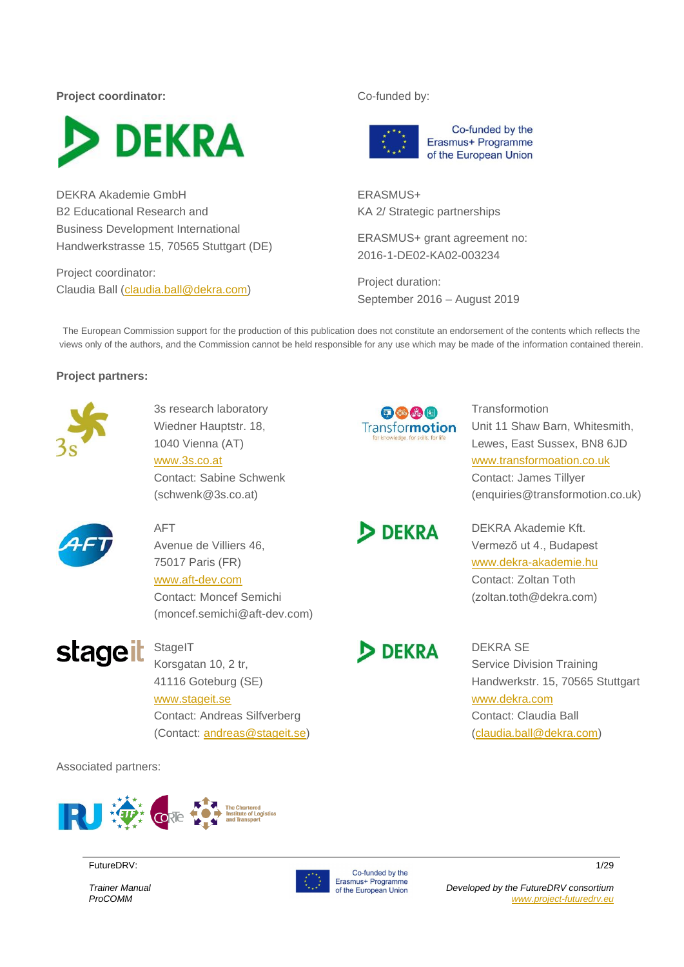**Project coordinator:** Co-funded by:



DEKRA Akademie GmbH B2 Educational Research and Business Development International Handwerkstrasse 15, 70565 Stuttgart (DE)

Project coordinator: Claudia Ball [\(claudia.ball@dekra.com\)](mailto:claudia.ball@dekra.com)



Co-funded by the Erasmus+ Programme of the European Union

ERASMUS+ KA 2/ Strategic partnerships

ERASMUS+ grant agreement no: 2016-1-DE02-KA02-003234

Project duration: September 2016 – August 2019

The European Commission support for the production of this publication does not constitute an endorsement of the contents which reflects the views only of the authors, and the Commission cannot be held responsible for any use which may be made of the information contained therein.

#### **Project partners:**



3s research laboratory Wiedner Hauptstr. 18, 1040 Vienna (AT) [www.3s.co.at](http://www.3s.co.at/)

Contact: Sabine Schwenk (schwenk@3s.co.at)



**DEKRA** 

**DEKRA** 

**Transformotion** Unit 11 Shaw Barn, Whitesmith, Lewes, East Sussex, BN8 6JD [www.transformoation.co.uk](http://www.transformoation.co.uk/) Contact: James Tillyer (enquiries@transformotion.co.uk)



#### AFT

Avenue de Villiers 46,

#### 75017 Paris (FR) [www.aft-dev.com](http://www.aft-dev.com/) Contact: Moncef Semichi

(moncef.semichi@aft-dev.com)

# **stageit**

**StageIT** 

Korsgatan 10, 2 tr, 41116 Goteburg (SE) [www.stageit.se](http://www.stageit.se/) Contact: Andreas Silfverberg (Contact: [andreas@stageit.se\)](mailto:andreas@stageit.se)

Associated partners:



FutureDRV: 1/29

*Trainer Manual ProCOMM*



Erasmus+ Programme of the European Union DEKRA Akademie Kft. Vermező ut 4., Budapest [www.dekra-akademie.hu](http://www.dekra-akademie.hu/) Contact: Zoltan Toth

(zoltan.toth@dekra.com)

DEKRA SE Service Division Training Handwerkstr. 15, 70565 Stuttgart [www.dekra.com](http://www.dekra.com/) Contact: Claudia Ball [\(claudia.ball@dekra.com\)](mailto:claudia.ball@dekra.com)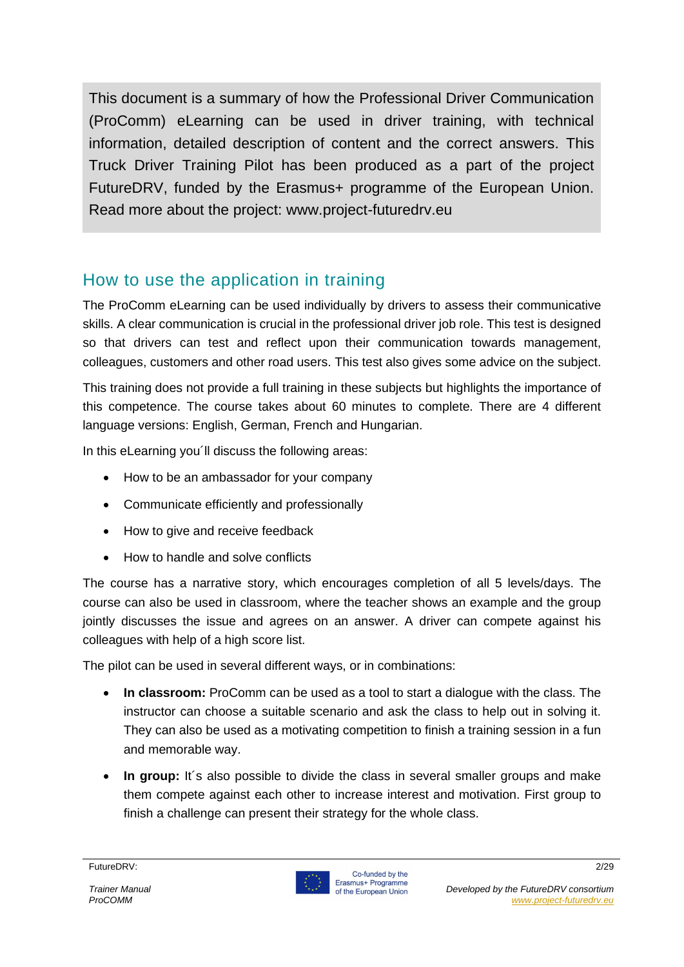This document is a summary of how the Professional Driver Communication (ProComm) eLearning can be used in driver training, with technical information, detailed description of content and the correct answers. This Truck Driver Training Pilot has been produced as a part of the project FutureDRV, funded by the Erasmus+ programme of the European Union. Read more about the project: www.project-futuredrv.eu

## How to use the application in training

The ProComm eLearning can be used individually by drivers to assess their communicative skills. A clear communication is crucial in the professional driver job role. This test is designed so that drivers can test and reflect upon their communication towards management, colleagues, customers and other road users. This test also gives some advice on the subject.

This training does not provide a full training in these subjects but highlights the importance of this competence. The course takes about 60 minutes to complete. There are 4 different language versions: English, German, French and Hungarian.

In this eLearning you'll discuss the following areas:

- How to be an ambassador for your company
- Communicate efficiently and professionally
- How to give and receive feedback
- How to handle and solve conflicts

The course has a narrative story, which encourages completion of all 5 levels/days. The course can also be used in classroom, where the teacher shows an example and the group jointly discusses the issue and agrees on an answer. A driver can compete against his colleagues with help of a high score list.

The pilot can be used in several different ways, or in combinations:

- **In classroom:** ProComm can be used as a tool to start a dialogue with the class. The instructor can choose a suitable scenario and ask the class to help out in solving it. They can also be used as a motivating competition to finish a training session in a fun and memorable way.
- In group: It's also possible to divide the class in several smaller groups and make them compete against each other to increase interest and motivation. First group to finish a challenge can present their strategy for the whole class.

FutureDRV: 2/29

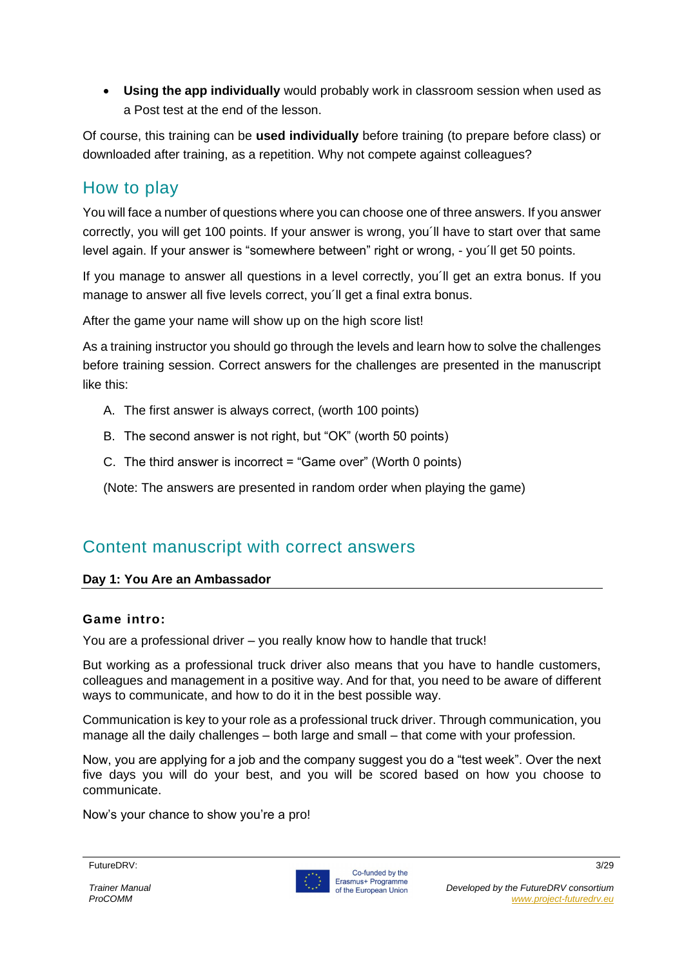• **Using the app individually** would probably work in classroom session when used as a Post test at the end of the lesson.

Of course, this training can be **used individually** before training (to prepare before class) or downloaded after training, as a repetition. Why not compete against colleagues?

## How to play

You will face a number of questions where you can choose one of three answers. If you answer correctly, you will get 100 points. If your answer is wrong, you´ll have to start over that same level again. If your answer is "somewhere between" right or wrong, - you´ll get 50 points.

If you manage to answer all questions in a level correctly, you´ll get an extra bonus. If you manage to answer all five levels correct, you´ll get a final extra bonus.

After the game your name will show up on the high score list!

As a training instructor you should go through the levels and learn how to solve the challenges before training session. Correct answers for the challenges are presented in the manuscript like this:

- A. The first answer is always correct, (worth 100 points)
- B. The second answer is not right, but "OK" (worth 50 points)
- C. The third answer is incorrect = "Game over" (Worth 0 points)

(Note: The answers are presented in random order when playing the game)

## Content manuscript with correct answers

#### **Day 1: You Are an Ambassador**

#### **Game intro:**

You are a professional driver – you really know how to handle that truck!

But working as a professional truck driver also means that you have to handle customers, colleagues and management in a positive way. And for that, you need to be aware of different ways to communicate, and how to do it in the best possible way.

Communication is key to your role as a professional truck driver. Through communication, you manage all the daily challenges – both large and small – that come with your profession.

Now, you are applying for a job and the company suggest you do a "test week". Over the next five days you will do your best, and you will be scored based on how you choose to communicate.

Now's your chance to show you're a pro!

FutureDRV: 3/29

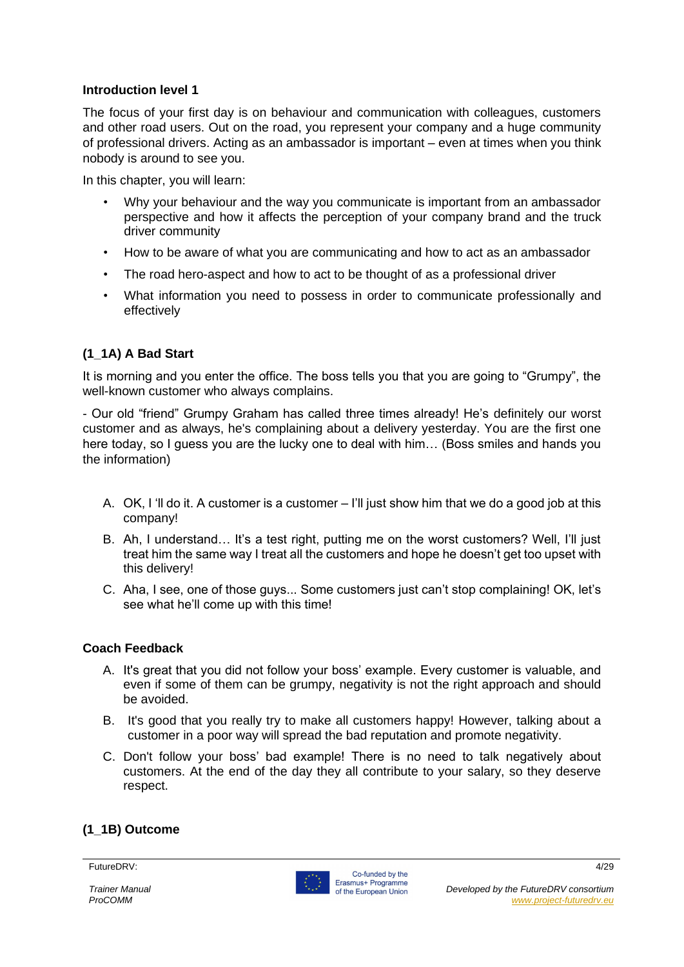#### **Introduction level 1**

The focus of your first day is on behaviour and communication with colleagues, customers and other road users. Out on the road, you represent your company and a huge community of professional drivers. Acting as an ambassador is important – even at times when you think nobody is around to see you.

In this chapter, you will learn:

- Why your behaviour and the way you communicate is important from an ambassador perspective and how it affects the perception of your company brand and the truck driver community
- How to be aware of what you are communicating and how to act as an ambassador
- The road hero-aspect and how to act to be thought of as a professional driver
- What information you need to possess in order to communicate professionally and effectively

#### **(1\_1A) A Bad Start**

It is morning and you enter the office. The boss tells you that you are going to "Grumpy", the well-known customer who always complains.

- Our old "friend" Grumpy Graham has called three times already! He's definitely our worst customer and as always, he's complaining about a delivery yesterday. You are the first one here today, so I guess you are the lucky one to deal with him… (Boss smiles and hands you the information)

- A. OK, I 'll do it. A customer is a customer I'll just show him that we do a good job at this company!
- B. Ah, I understand… It's a test right, putting me on the worst customers? Well, I'll just treat him the same way I treat all the customers and hope he doesn't get too upset with this delivery!
- C. Aha, I see, one of those guys... Some customers just can't stop complaining! OK, let's see what he'll come up with this time!

#### **Coach Feedback**

- A. It's great that you did not follow your boss' example. Every customer is valuable, and even if some of them can be grumpy, negativity is not the right approach and should be avoided.
- B. It's good that you really try to make all customers happy! However, talking about a customer in a poor way will spread the bad reputation and promote negativity.
- C. Don't follow your boss' bad example! There is no need to talk negatively about customers. At the end of the day they all contribute to your salary, so they deserve respect.

#### **(1\_1B) Outcome**

#### FutureDRV: 4/29

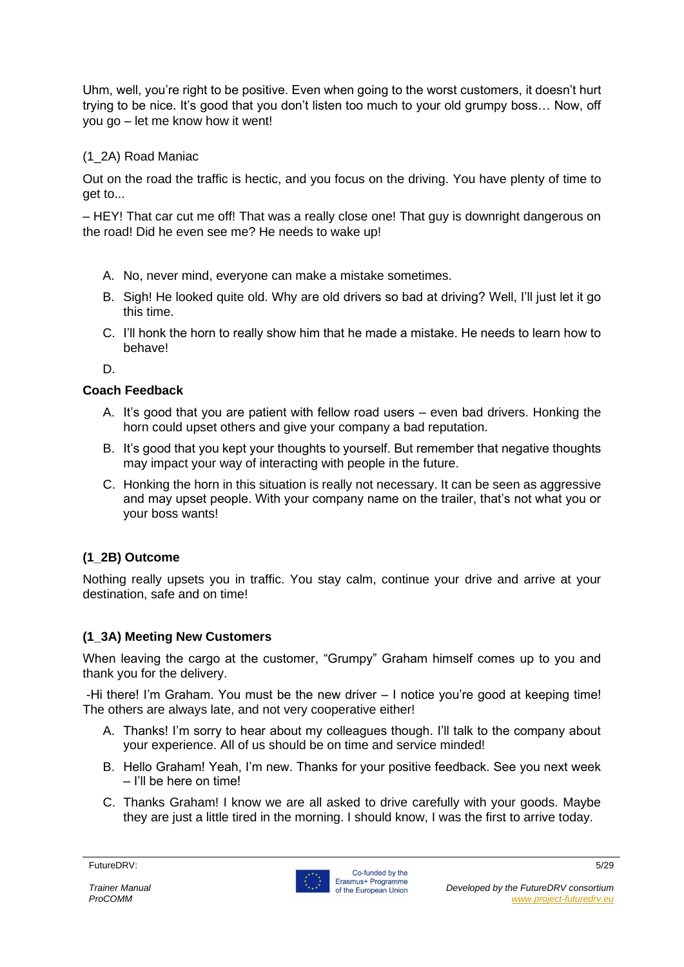Uhm, well, you're right to be positive. Even when going to the worst customers, it doesn't hurt trying to be nice. It's good that you don't listen too much to your old grumpy boss… Now, off you go – let me know how it went!

#### (1\_2A) Road Maniac

Out on the road the traffic is hectic, and you focus on the driving. You have plenty of time to get to...

– HEY! That car cut me off! That was a really close one! That guy is downright dangerous on the road! Did he even see me? He needs to wake up!

- A. No, never mind, everyone can make a mistake sometimes.
- B. Sigh! He looked quite old. Why are old drivers so bad at driving? Well, I'll just let it go this time.
- C. I'll honk the horn to really show him that he made a mistake. He needs to learn how to behave!

D.

#### **Coach Feedback**

- A. It's good that you are patient with fellow road users even bad drivers. Honking the horn could upset others and give your company a bad reputation.
- B. It's good that you kept your thoughts to yourself. But remember that negative thoughts may impact your way of interacting with people in the future.
- C. Honking the horn in this situation is really not necessary. It can be seen as aggressive and may upset people. With your company name on the trailer, that's not what you or your boss wants!

#### **(1\_2B) Outcome**

Nothing really upsets you in traffic. You stay calm, continue your drive and arrive at your destination, safe and on time!

#### **(1\_3A) Meeting New Customers**

When leaving the cargo at the customer, "Grumpy" Graham himself comes up to you and thank you for the delivery.

-Hi there! I'm Graham. You must be the new driver – I notice you're good at keeping time! The others are always late, and not very cooperative either!

- A. Thanks! I'm sorry to hear about my colleagues though. I'll talk to the company about your experience. All of us should be on time and service minded!
- B. Hello Graham! Yeah, I'm new. Thanks for your positive feedback. See you next week – I'll be here on time!
- C. Thanks Graham! I know we are all asked to drive carefully with your goods. Maybe they are just a little tired in the morning. I should know, I was the first to arrive today.

FutureDRV: 5/29

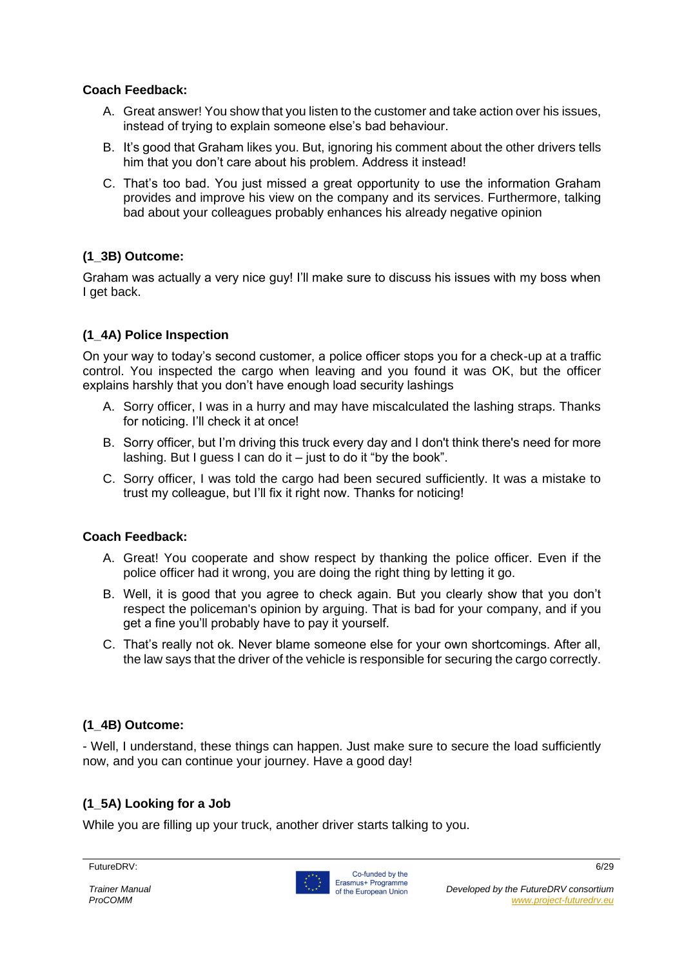#### **Coach Feedback:**

- A. Great answer! You show that you listen to the customer and take action over his issues, instead of trying to explain someone else's bad behaviour.
- B. It's good that Graham likes you. But, ignoring his comment about the other drivers tells him that you don't care about his problem. Address it instead!
- C. That's too bad. You just missed a great opportunity to use the information Graham provides and improve his view on the company and its services. Furthermore, talking bad about your colleagues probably enhances his already negative opinion

#### **(1\_3B) Outcome:**

Graham was actually a very nice guy! I'll make sure to discuss his issues with my boss when I get back.

#### **(1\_4A) Police Inspection**

On your way to today's second customer, a police officer stops you for a check-up at a traffic control. You inspected the cargo when leaving and you found it was OK, but the officer explains harshly that you don't have enough load security lashings

- A. Sorry officer, I was in a hurry and may have miscalculated the lashing straps. Thanks for noticing. I'll check it at once!
- B. Sorry officer, but I'm driving this truck every day and I don't think there's need for more lashing. But I guess I can do it – just to do it "by the book".
- C. Sorry officer, I was told the cargo had been secured sufficiently. It was a mistake to trust my colleague, but I'll fix it right now. Thanks for noticing!

#### **Coach Feedback:**

- A. Great! You cooperate and show respect by thanking the police officer. Even if the police officer had it wrong, you are doing the right thing by letting it go.
- B. Well, it is good that you agree to check again. But you clearly show that you don't respect the policeman's opinion by arguing. That is bad for your company, and if you get a fine you'll probably have to pay it yourself.
- C. That's really not ok. Never blame someone else for your own shortcomings. After all, the law says that the driver of the vehicle is responsible for securing the cargo correctly.

#### **(1\_4B) Outcome:**

- Well, I understand, these things can happen. Just make sure to secure the load sufficiently now, and you can continue your journey. Have a good day!

#### **(1\_5A) Looking for a Job**

While you are filling up your truck, another driver starts talking to you.

FutureDRV: 6/29

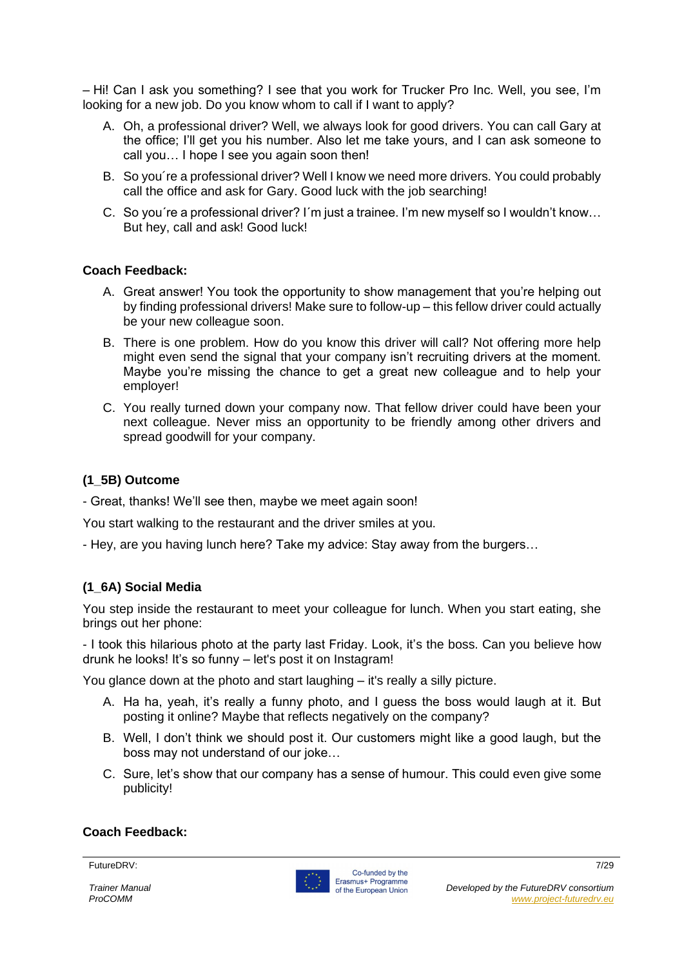– Hi! Can I ask you something? I see that you work for Trucker Pro Inc. Well, you see, I'm looking for a new job. Do you know whom to call if I want to apply?

- A. Oh, a professional driver? Well, we always look for good drivers. You can call Gary at the office; I'll get you his number. Also let me take yours, and I can ask someone to call you… I hope I see you again soon then!
- B. So you´re a professional driver? Well I know we need more drivers. You could probably call the office and ask for Gary. Good luck with the job searching!
- C. So you´re a professional driver? I´m just a trainee. I'm new myself so I wouldn't know… But hey, call and ask! Good luck!

#### **Coach Feedback:**

- A. Great answer! You took the opportunity to show management that you're helping out by finding professional drivers! Make sure to follow-up – this fellow driver could actually be your new colleague soon.
- B. There is one problem. How do you know this driver will call? Not offering more help might even send the signal that your company isn't recruiting drivers at the moment. Maybe you're missing the chance to get a great new colleague and to help your employer!
- C. You really turned down your company now. That fellow driver could have been your next colleague. Never miss an opportunity to be friendly among other drivers and spread goodwill for your company.

#### **(1\_5B) Outcome**

- Great, thanks! We'll see then, maybe we meet again soon!

You start walking to the restaurant and the driver smiles at you.

- Hey, are you having lunch here? Take my advice: Stay away from the burgers…

#### **(1\_6A) Social Media**

You step inside the restaurant to meet your colleague for lunch. When you start eating, she brings out her phone:

- I took this hilarious photo at the party last Friday. Look, it's the boss. Can you believe how drunk he looks! It's so funny – let's post it on Instagram!

You glance down at the photo and start laughing – it's really a silly picture.

- A. Ha ha, yeah, it's really a funny photo, and I guess the boss would laugh at it. But posting it online? Maybe that reflects negatively on the company?
- B. Well, I don't think we should post it. Our customers might like a good laugh, but the boss may not understand of our joke…
- C. Sure, let's show that our company has a sense of humour. This could even give some publicity!

#### **Coach Feedback:**

FutureDRV: 7/29

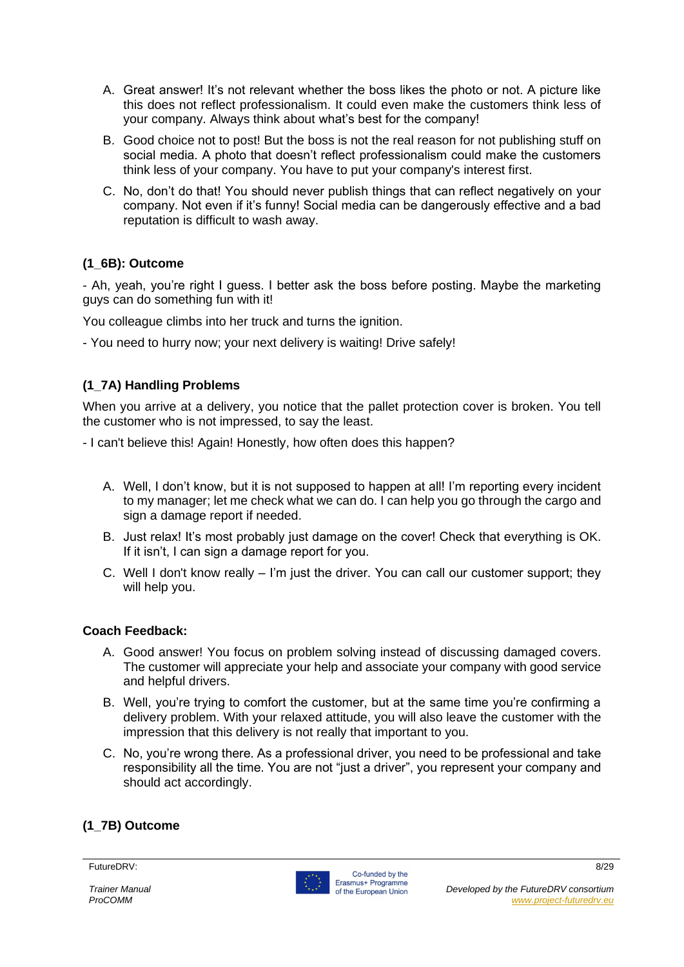- A. Great answer! It's not relevant whether the boss likes the photo or not. A picture like this does not reflect professionalism. It could even make the customers think less of your company. Always think about what's best for the company!
- B. Good choice not to post! But the boss is not the real reason for not publishing stuff on social media. A photo that doesn't reflect professionalism could make the customers think less of your company. You have to put your company's interest first.
- C. No, don't do that! You should never publish things that can reflect negatively on your company. Not even if it's funny! Social media can be dangerously effective and a bad reputation is difficult to wash away.

#### **(1\_6B): Outcome**

- Ah, yeah, you're right I guess. I better ask the boss before posting. Maybe the marketing guys can do something fun with it!

You colleague climbs into her truck and turns the ignition.

- You need to hurry now; your next delivery is waiting! Drive safely!

#### **(1\_7A) Handling Problems**

When you arrive at a delivery, you notice that the pallet protection cover is broken. You tell the customer who is not impressed, to say the least.

- I can't believe this! Again! Honestly, how often does this happen?
	- A. Well, I don't know, but it is not supposed to happen at all! I'm reporting every incident to my manager; let me check what we can do. I can help you go through the cargo and sign a damage report if needed.
	- B. Just relax! It's most probably just damage on the cover! Check that everything is OK. If it isn't. I can sign a damage report for you.
	- C. Well I don't know really I'm just the driver. You can call our customer support; they will help you.

#### **Coach Feedback:**

- A. Good answer! You focus on problem solving instead of discussing damaged covers. The customer will appreciate your help and associate your company with good service and helpful drivers.
- B. Well, you're trying to comfort the customer, but at the same time you're confirming a delivery problem. With your relaxed attitude, you will also leave the customer with the impression that this delivery is not really that important to you.
- C. No, you're wrong there. As a professional driver, you need to be professional and take responsibility all the time. You are not "just a driver", you represent your company and should act accordingly.

#### **(1\_7B) Outcome**

#### FutureDRV: 8/29

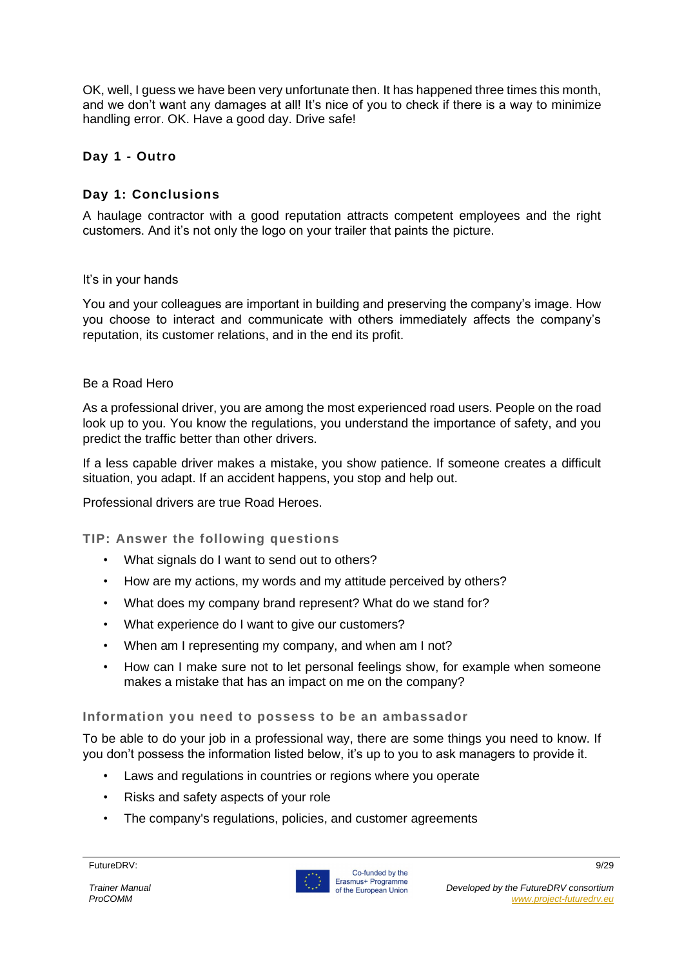OK, well, I guess we have been very unfortunate then. It has happened three times this month, and we don't want any damages at all! It's nice of you to check if there is a way to minimize handling error. OK. Have a good day. Drive safe!

#### **Day 1 - Outro**

#### **Day 1: Conclusions**

A haulage contractor with a good reputation attracts competent employees and the right customers. And it's not only the logo on your trailer that paints the picture.

#### It's in your hands

You and your colleagues are important in building and preserving the company's image. How you choose to interact and communicate with others immediately affects the company's reputation, its customer relations, and in the end its profit.

#### Be a Road Hero

As a professional driver, you are among the most experienced road users. People on the road look up to you. You know the regulations, you understand the importance of safety, and you predict the traffic better than other drivers.

If a less capable driver makes a mistake, you show patience. If someone creates a difficult situation, you adapt. If an accident happens, you stop and help out.

Professional drivers are true Road Heroes.

**TIP: Answer the following questions**

- What signals do I want to send out to others?
- How are my actions, my words and my attitude perceived by others?
- What does my company brand represent? What do we stand for?
- What experience do I want to give our customers?
- When am I representing my company, and when am I not?
- How can I make sure not to let personal feelings show, for example when someone makes a mistake that has an impact on me on the company?

#### **Information you need to possess to be an ambassador**

To be able to do your job in a professional way, there are some things you need to know. If you don't possess the information listed below, it's up to you to ask managers to provide it.

- Laws and regulations in countries or regions where you operate
- Risks and safety aspects of your role
- The company's regulations, policies, and customer agreements

#### FutureDRV: 9/29

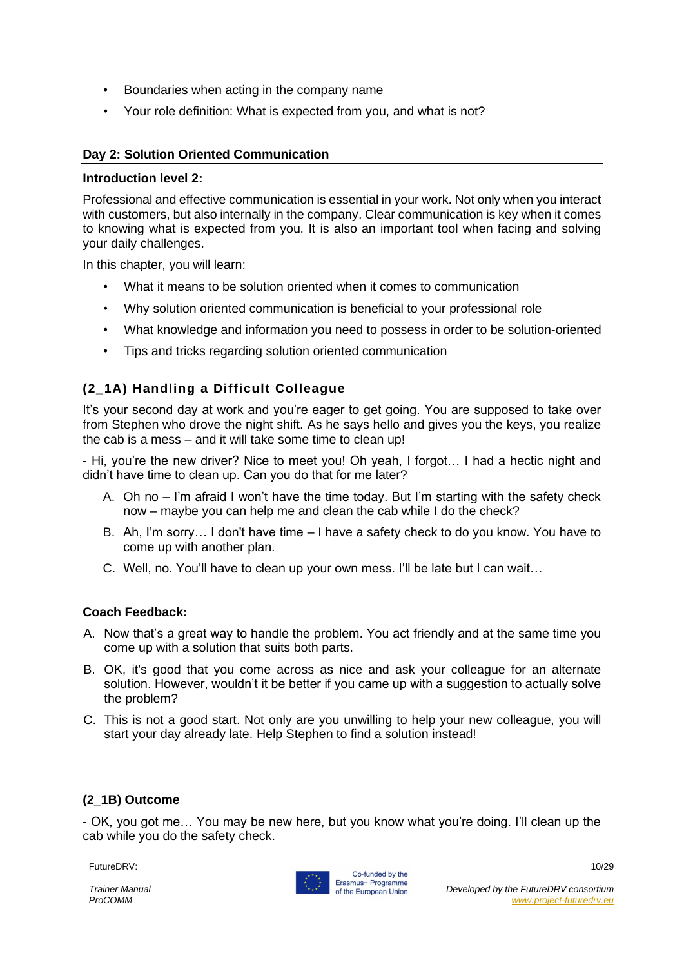- Boundaries when acting in the company name
- Your role definition: What is expected from you, and what is not?

#### **Day 2: Solution Oriented Communication**

#### **Introduction level 2:**

Professional and effective communication is essential in your work. Not only when you interact with customers, but also internally in the company. Clear communication is key when it comes to knowing what is expected from you. It is also an important tool when facing and solving your daily challenges.

In this chapter, you will learn:

- What it means to be solution oriented when it comes to communication
- Why solution oriented communication is beneficial to your professional role
- What knowledge and information you need to possess in order to be solution-oriented
- Tips and tricks regarding solution oriented communication

#### **(2\_1A) Handling a Difficult Colleague**

It's your second day at work and you're eager to get going. You are supposed to take over from Stephen who drove the night shift. As he says hello and gives you the keys, you realize the cab is a mess – and it will take some time to clean up!

- Hi, you're the new driver? Nice to meet you! Oh yeah, I forgot… I had a hectic night and didn't have time to clean up. Can you do that for me later?

- A. Oh no I'm afraid I won't have the time today. But I'm starting with the safety check now – maybe you can help me and clean the cab while I do the check?
- B. Ah, I'm sorry… I don't have time I have a safety check to do you know. You have to come up with another plan.
- C. Well, no. You'll have to clean up your own mess. I'll be late but I can wait…

#### **Coach Feedback:**

- A. Now that's a great way to handle the problem. You act friendly and at the same time you come up with a solution that suits both parts.
- B. OK, it's good that you come across as nice and ask your colleague for an alternate solution. However, wouldn't it be better if you came up with a suggestion to actually solve the problem?
- C. This is not a good start. Not only are you unwilling to help your new colleague, you will start your day already late. Help Stephen to find a solution instead!

#### **(2\_1B) Outcome**

- OK, you got me… You may be new here, but you know what you're doing. I'll clean up the cab while you do the safety check.

FutureDRV: 10/29

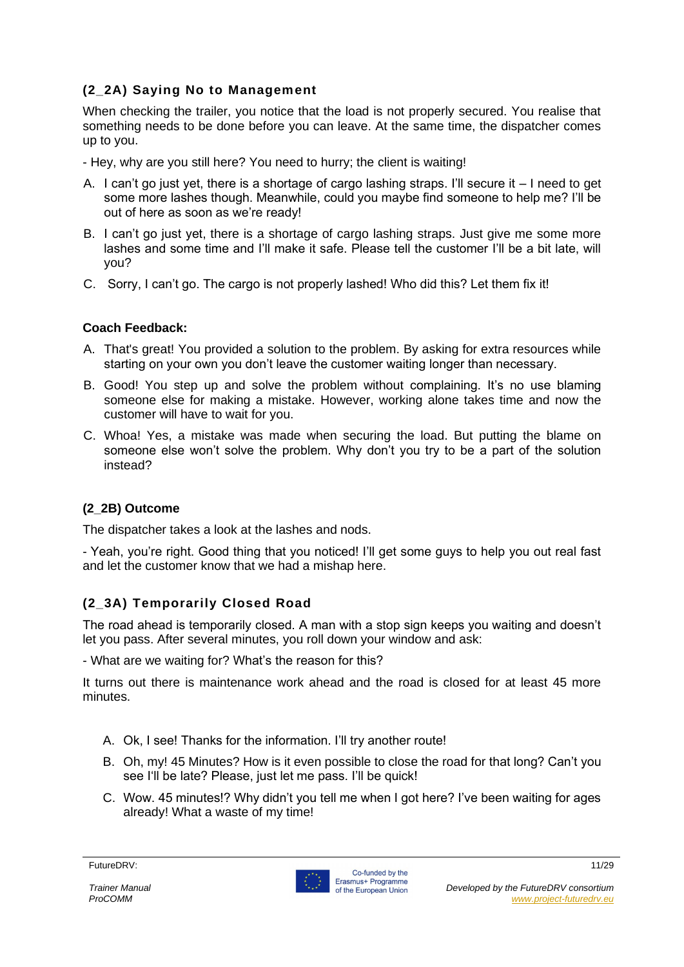#### **(2\_2A) Saying No to Management**

When checking the trailer, you notice that the load is not properly secured. You realise that something needs to be done before you can leave. At the same time, the dispatcher comes up to you.

- Hey, why are you still here? You need to hurry; the client is waiting!

- A. I can't go just yet, there is a shortage of cargo lashing straps. I'll secure it I need to get some more lashes though. Meanwhile, could you maybe find someone to help me? I'll be out of here as soon as we're ready!
- B. I can't go just yet, there is a shortage of cargo lashing straps. Just give me some more lashes and some time and I'll make it safe. Please tell the customer I'll be a bit late, will you?
- C. Sorry, I can't go. The cargo is not properly lashed! Who did this? Let them fix it!

#### **Coach Feedback:**

- A. That's great! You provided a solution to the problem. By asking for extra resources while starting on your own you don't leave the customer waiting longer than necessary.
- B. Good! You step up and solve the problem without complaining. It's no use blaming someone else for making a mistake. However, working alone takes time and now the customer will have to wait for you.
- C. Whoa! Yes, a mistake was made when securing the load. But putting the blame on someone else won't solve the problem. Why don't you try to be a part of the solution instead?

#### **(2\_2B) Outcome**

The dispatcher takes a look at the lashes and nods.

- Yeah, you're right. Good thing that you noticed! I'll get some guys to help you out real fast and let the customer know that we had a mishap here.

#### **(2\_3A) Temporarily Closed Road**

The road ahead is temporarily closed. A man with a stop sign keeps you waiting and doesn't let you pass. After several minutes, you roll down your window and ask:

- What are we waiting for? What's the reason for this?

It turns out there is maintenance work ahead and the road is closed for at least 45 more minutes.

- A. Ok, I see! Thanks for the information. I'll try another route!
- B. Oh, my! 45 Minutes? How is it even possible to close the road for that long? Can't you see I'll be late? Please, just let me pass. I'll be quick!
- C. Wow. 45 minutes!? Why didn't you tell me when I got here? I've been waiting for ages already! What a waste of my time!

FutureDRV: 11/29

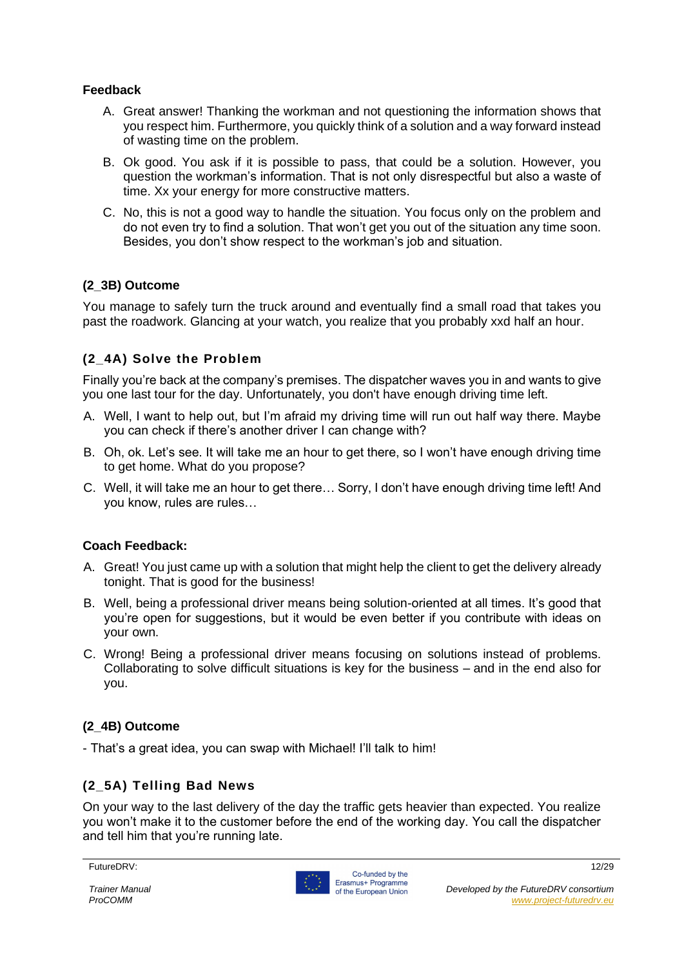#### **Feedback**

- A. Great answer! Thanking the workman and not questioning the information shows that you respect him. Furthermore, you quickly think of a solution and a way forward instead of wasting time on the problem.
- B. Ok good. You ask if it is possible to pass, that could be a solution. However, you question the workman's information. That is not only disrespectful but also a waste of time. Xx your energy for more constructive matters.
- C. No, this is not a good way to handle the situation. You focus only on the problem and do not even try to find a solution. That won't get you out of the situation any time soon. Besides, you don't show respect to the workman's job and situation.

#### **(2\_3B) Outcome**

You manage to safely turn the truck around and eventually find a small road that takes you past the roadwork. Glancing at your watch, you realize that you probably xxd half an hour.

#### **(2\_4A) Solve the Problem**

Finally you're back at the company's premises. The dispatcher waves you in and wants to give you one last tour for the day. Unfortunately, you don't have enough driving time left.

- A. Well, I want to help out, but I'm afraid my driving time will run out half way there. Maybe you can check if there's another driver I can change with?
- B. Oh, ok. Let's see. It will take me an hour to get there, so I won't have enough driving time to get home. What do you propose?
- C. Well, it will take me an hour to get there… Sorry, I don't have enough driving time left! And you know, rules are rules…

#### **Coach Feedback:**

- A. Great! You just came up with a solution that might help the client to get the delivery already tonight. That is good for the business!
- B. Well, being a professional driver means being solution-oriented at all times. It's good that you're open for suggestions, but it would be even better if you contribute with ideas on your own.
- C. Wrong! Being a professional driver means focusing on solutions instead of problems. Collaborating to solve difficult situations is key for the business – and in the end also for you.

#### **(2\_4B) Outcome**

- That's a great idea, you can swap with Michael! I'll talk to him!

#### **(2\_5A) Telling Bad News**

On your way to the last delivery of the day the traffic gets heavier than expected. You realize you won't make it to the customer before the end of the working day. You call the dispatcher and tell him that you're running late.

FutureDRV: 12/29

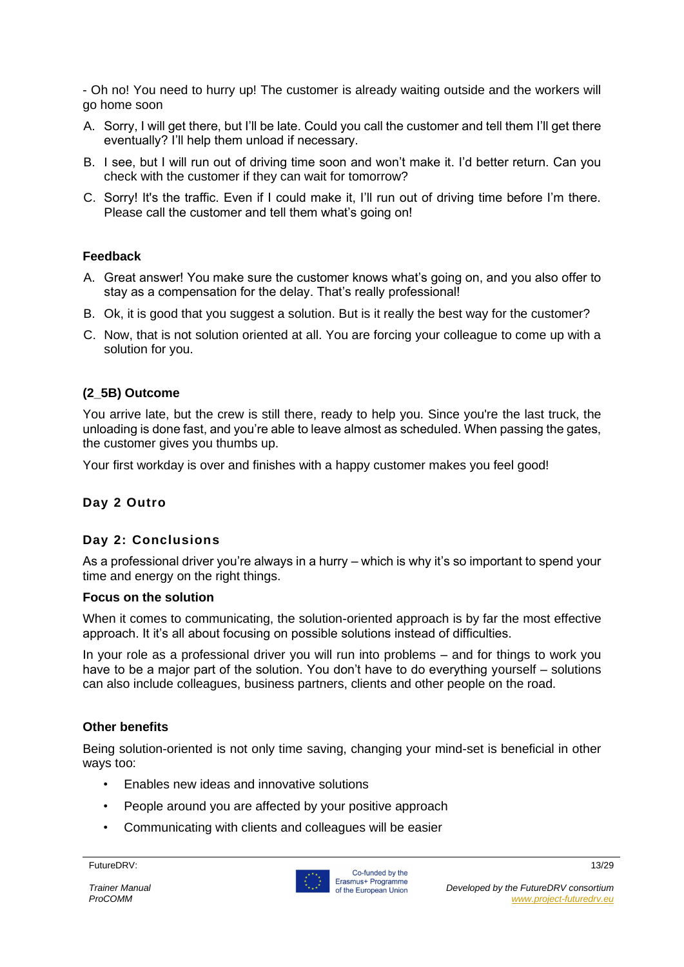- Oh no! You need to hurry up! The customer is already waiting outside and the workers will go home soon

- A. Sorry, I will get there, but I'll be late. Could you call the customer and tell them I'll get there eventually? I'll help them unload if necessary.
- B. I see, but I will run out of driving time soon and won't make it. I'd better return. Can you check with the customer if they can wait for tomorrow?
- C. Sorry! It's the traffic. Even if I could make it, I'll run out of driving time before I'm there. Please call the customer and tell them what's going on!

#### **Feedback**

- A. Great answer! You make sure the customer knows what's going on, and you also offer to stay as a compensation for the delay. That's really professional!
- B. Ok, it is good that you suggest a solution. But is it really the best way for the customer?
- C. Now, that is not solution oriented at all. You are forcing your colleague to come up with a solution for you.

#### **(2\_5B) Outcome**

You arrive late, but the crew is still there, ready to help you. Since you're the last truck, the unloading is done fast, and you're able to leave almost as scheduled. When passing the gates, the customer gives you thumbs up.

Your first workday is over and finishes with a happy customer makes you feel good!

#### **Day 2 Outro**

#### **Day 2: Conclusions**

As a professional driver you're always in a hurry – which is why it's so important to spend your time and energy on the right things.

#### **Focus on the solution**

When it comes to communicating, the solution-oriented approach is by far the most effective approach. It it's all about focusing on possible solutions instead of difficulties.

In your role as a professional driver you will run into problems – and for things to work you have to be a major part of the solution. You don't have to do everything yourself – solutions can also include colleagues, business partners, clients and other people on the road.

#### **Other benefits**

Being solution-oriented is not only time saving, changing your mind-set is beneficial in other ways too:

- Enables new ideas and innovative solutions
- People around you are affected by your positive approach
- Communicating with clients and colleagues will be easier

FutureDRV: 13/29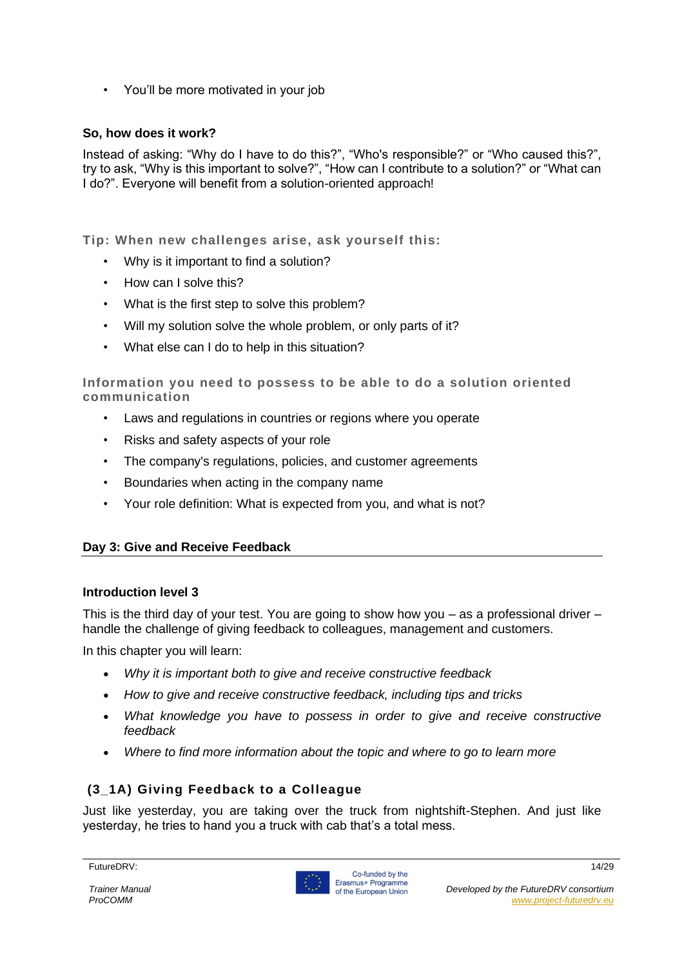• You'll be more motivated in your job

#### **So, how does it work?**

Instead of asking: "Why do I have to do this?", "Who's responsible?" or "Who caused this?", try to ask, "Why is this important to solve?", "How can I contribute to a solution?" or "What can I do?". Everyone will benefit from a solution-oriented approach!

**Tip: When new challenges arise, ask yourself this:**

- Why is it important to find a solution?
- How can I solve this?
- What is the first step to solve this problem?
- Will my solution solve the whole problem, or only parts of it?
- What else can I do to help in this situation?

**Information you need to possess to be able to do a solution oriented communication**

- Laws and regulations in countries or regions where you operate
- Risks and safety aspects of your role
- The company's regulations, policies, and customer agreements
- Boundaries when acting in the company name
- Your role definition: What is expected from you, and what is not?

#### **Day 3: Give and Receive Feedback**

#### **Introduction level 3**

This is the third day of your test. You are going to show how you – as a professional driver – handle the challenge of giving feedback to colleagues, management and customers.

In this chapter you will learn:

- *Why it is important both to give and receive constructive feedback*
- *How to give and receive constructive feedback, including tips and tricks*
- *What knowledge you have to possess in order to give and receive constructive feedback*
- *Where to find more information about the topic and where to go to learn more*

#### **(3\_1A) Giving Feedback to a Colleague**

Just like yesterday, you are taking over the truck from nightshift-Stephen. And just like yesterday, he tries to hand you a truck with cab that's a total mess.

FutureDRV: 14/29

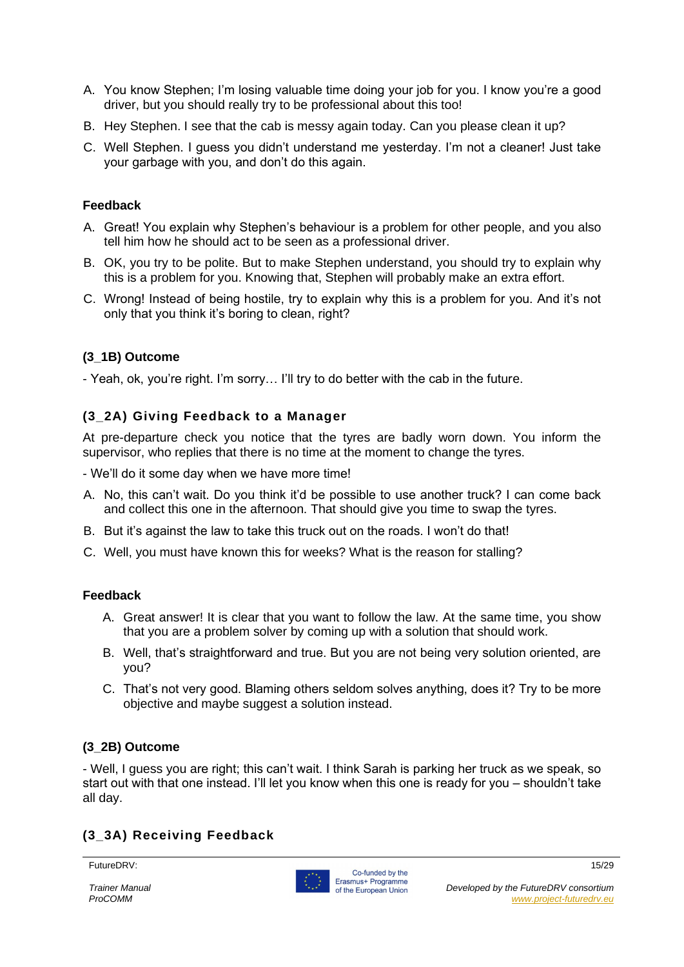- A. You know Stephen; I'm losing valuable time doing your job for you. I know you're a good driver, but you should really try to be professional about this too!
- B. Hey Stephen. I see that the cab is messy again today. Can you please clean it up?
- C. Well Stephen. I guess you didn't understand me yesterday. I'm not a cleaner! Just take your garbage with you, and don't do this again.

#### **Feedback**

- A. Great! You explain why Stephen's behaviour is a problem for other people, and you also tell him how he should act to be seen as a professional driver.
- B. OK, you try to be polite. But to make Stephen understand, you should try to explain why this is a problem for you. Knowing that, Stephen will probably make an extra effort.
- C. Wrong! Instead of being hostile, try to explain why this is a problem for you. And it's not only that you think it's boring to clean, right?

#### **(3\_1B) Outcome**

- Yeah, ok, you're right. I'm sorry… I'll try to do better with the cab in the future.

#### **(3\_2A) Giving Feedback to a Manager**

At pre-departure check you notice that the tyres are badly worn down. You inform the supervisor, who replies that there is no time at the moment to change the tyres.

- We'll do it some day when we have more time!

- A. No, this can't wait. Do you think it'd be possible to use another truck? I can come back and collect this one in the afternoon. That should give you time to swap the tyres.
- B. But it's against the law to take this truck out on the roads. I won't do that!
- C. Well, you must have known this for weeks? What is the reason for stalling?

#### **Feedback**

- A. Great answer! It is clear that you want to follow the law. At the same time, you show that you are a problem solver by coming up with a solution that should work.
- B. Well, that's straightforward and true. But you are not being very solution oriented, are you?
- C. That's not very good. Blaming others seldom solves anything, does it? Try to be more objective and maybe suggest a solution instead.

#### **(3\_2B) Outcome**

- Well, I guess you are right; this can't wait. I think Sarah is parking her truck as we speak, so start out with that one instead. I'll let you know when this one is ready for you – shouldn't take all day.

#### **(3\_3A) Receiving Feedback**

FutureDRV: 15/29

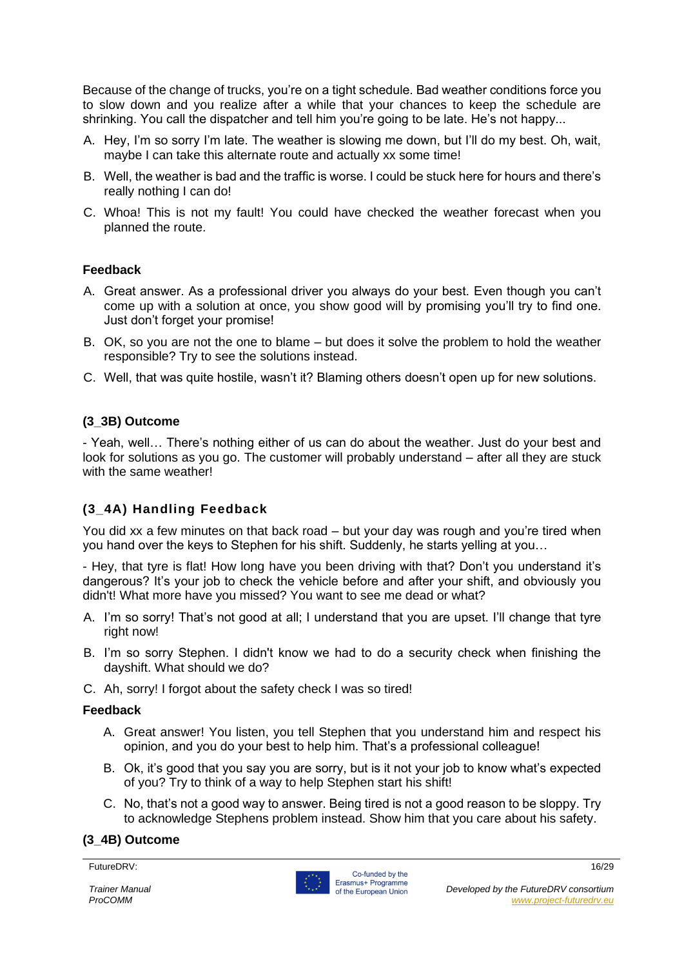Because of the change of trucks, you're on a tight schedule. Bad weather conditions force you to slow down and you realize after a while that your chances to keep the schedule are shrinking. You call the dispatcher and tell him you're going to be late. He's not happy...

- A. Hey, I'm so sorry I'm late. The weather is slowing me down, but I'll do my best. Oh, wait, maybe I can take this alternate route and actually xx some time!
- B. Well, the weather is bad and the traffic is worse. I could be stuck here for hours and there's really nothing I can do!
- C. Whoa! This is not my fault! You could have checked the weather forecast when you planned the route.

#### **Feedback**

- A. Great answer. As a professional driver you always do your best. Even though you can't come up with a solution at once, you show good will by promising you'll try to find one. Just don't forget your promise!
- B. OK, so you are not the one to blame but does it solve the problem to hold the weather responsible? Try to see the solutions instead.
- C. Well, that was quite hostile, wasn't it? Blaming others doesn't open up for new solutions.

#### **(3\_3B) Outcome**

- Yeah, well… There's nothing either of us can do about the weather. Just do your best and look for solutions as you go. The customer will probably understand – after all they are stuck with the same weather!

#### **(3\_4A) Handling Feedback**

You did xx a few minutes on that back road – but your day was rough and you're tired when you hand over the keys to Stephen for his shift. Suddenly, he starts yelling at you…

- Hey, that tyre is flat! How long have you been driving with that? Don't you understand it's dangerous? It's your job to check the vehicle before and after your shift, and obviously you didn't! What more have you missed? You want to see me dead or what?

- A. I'm so sorry! That's not good at all; I understand that you are upset. I'll change that tyre right now!
- B. I'm so sorry Stephen. I didn't know we had to do a security check when finishing the dayshift. What should we do?
- C. Ah, sorry! I forgot about the safety check I was so tired!

#### **Feedback**

- A. Great answer! You listen, you tell Stephen that you understand him and respect his opinion, and you do your best to help him. That's a professional colleague!
- B. Ok, it's good that you say you are sorry, but is it not your job to know what's expected of you? Try to think of a way to help Stephen start his shift!
- C. No, that's not a good way to answer. Being tired is not a good reason to be sloppy. Try to acknowledge Stephens problem instead. Show him that you care about his safety.

#### **(3\_4B) Outcome**

FutureDRV: 16/29

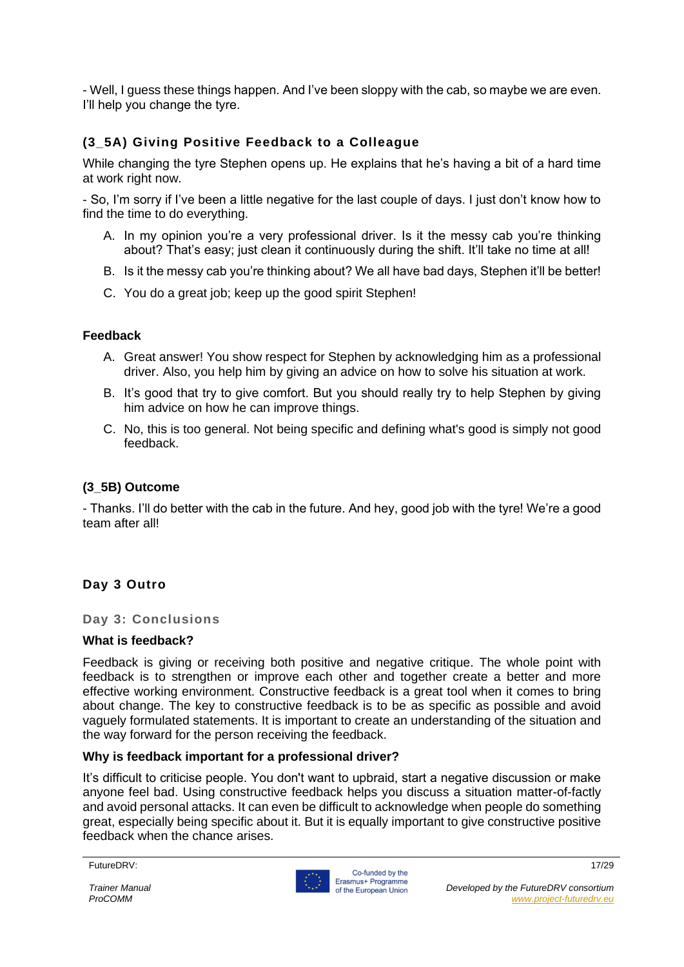- Well, I guess these things happen. And I've been sloppy with the cab, so maybe we are even. I'll help you change the tyre.

#### **(3\_5A) Giving Positive Feedback to a Colleague**

While changing the tyre Stephen opens up. He explains that he's having a bit of a hard time at work right now.

- So, I'm sorry if I've been a little negative for the last couple of days. I just don't know how to find the time to do everything.

- A. In my opinion you're a very professional driver. Is it the messy cab you're thinking about? That's easy; just clean it continuously during the shift. It'll take no time at all!
- B. Is it the messy cab you're thinking about? We all have bad days, Stephen it'll be better!
- C. You do a great job; keep up the good spirit Stephen!

#### **Feedback**

- A. Great answer! You show respect for Stephen by acknowledging him as a professional driver. Also, you help him by giving an advice on how to solve his situation at work.
- B. It's good that try to give comfort. But you should really try to help Stephen by giving him advice on how he can improve things.
- C. No, this is too general. Not being specific and defining what's good is simply not good feedback.

#### **(3\_5B) Outcome**

- Thanks. I'll do better with the cab in the future. And hey, good job with the tyre! We're a good team after all!

#### **Day 3 Outro**

**Day 3: Conclusions**

#### **What is feedback?**

Feedback is giving or receiving both positive and negative critique. The whole point with feedback is to strengthen or improve each other and together create a better and more effective working environment. Constructive feedback is a great tool when it comes to bring about change. The key to constructive feedback is to be as specific as possible and avoid vaguely formulated statements. It is important to create an understanding of the situation and the way forward for the person receiving the feedback.

#### **Why is feedback important for a professional driver?**

It's difficult to criticise people. You don't want to upbraid, start a negative discussion or make anyone feel bad. Using constructive feedback helps you discuss a situation matter-of-factly and avoid personal attacks. It can even be difficult to acknowledge when people do something great, especially being specific about it. But it is equally important to give constructive positive feedback when the chance arises.

FutureDRV: 17/29

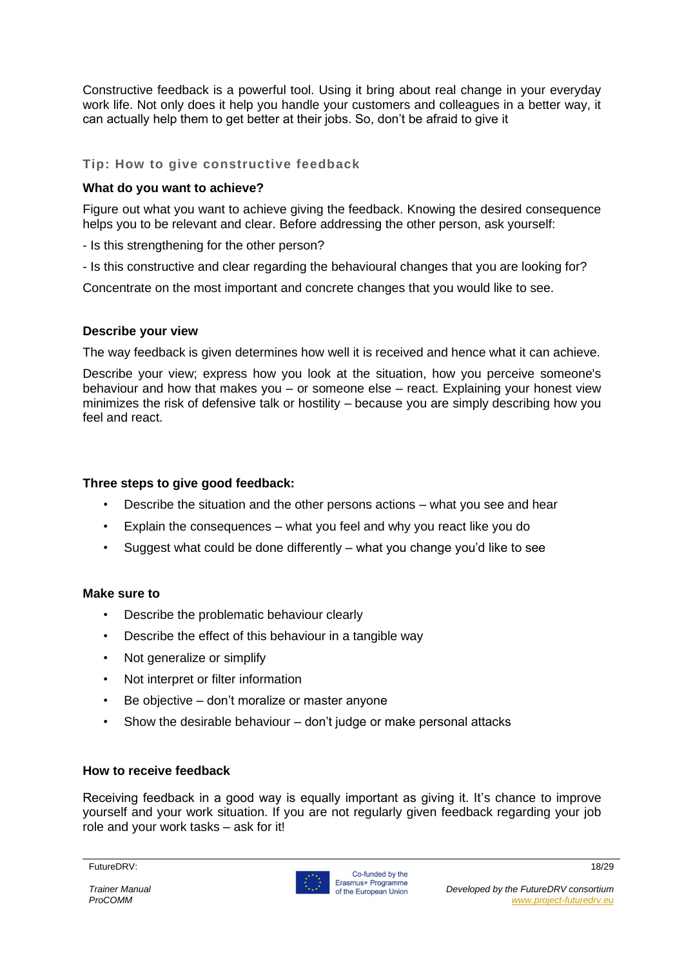Constructive feedback is a powerful tool. Using it bring about real change in your everyday work life. Not only does it help you handle your customers and colleagues in a better way, it can actually help them to get better at their jobs. So, don't be afraid to give it

#### **Tip: How to give constructive feedback**

#### **What do you want to achieve?**

Figure out what you want to achieve giving the feedback. Knowing the desired consequence helps you to be relevant and clear. Before addressing the other person, ask yourself:

- Is this strengthening for the other person?

- Is this constructive and clear regarding the behavioural changes that you are looking for?

Concentrate on the most important and concrete changes that you would like to see.

#### **Describe your view**

The way feedback is given determines how well it is received and hence what it can achieve.

Describe your view; express how you look at the situation, how you perceive someone's behaviour and how that makes you – or someone else – react. Explaining your honest view minimizes the risk of defensive talk or hostility – because you are simply describing how you feel and react.

#### **Three steps to give good feedback:**

- Describe the situation and the other persons actions what you see and hear
- Explain the consequences what you feel and why you react like you do
- Suggest what could be done differently what you change you'd like to see

#### **Make sure to**

- Describe the problematic behaviour clearly
- Describe the effect of this behaviour in a tangible way
- Not generalize or simplify
- Not interpret or filter information
- Be objective don't moralize or master anyone
- Show the desirable behaviour don't judge or make personal attacks

#### **How to receive feedback**

Receiving feedback in a good way is equally important as giving it. It's chance to improve yourself and your work situation. If you are not regularly given feedback regarding your job role and your work tasks – ask for it!

FutureDRV: 18/29

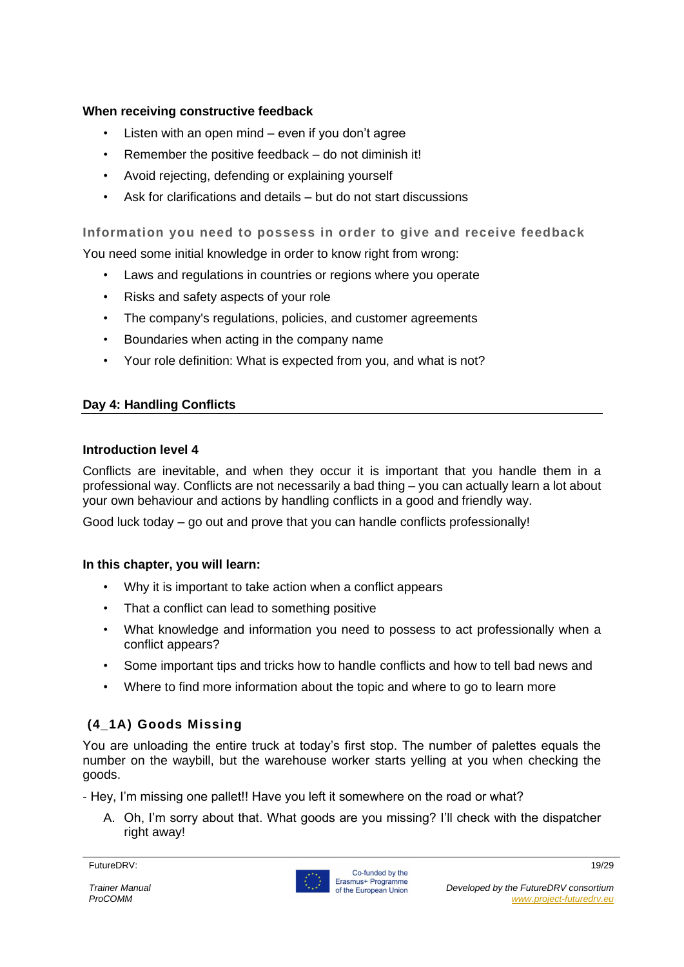#### **When receiving constructive feedback**

- Listen with an open mind  $-$  even if you don't agree
- Remember the positive feedback do not diminish it!
- Avoid rejecting, defending or explaining yourself
- Ask for clarifications and details but do not start discussions

#### **Information you need to possess in order to give and receive feedback**

You need some initial knowledge in order to know right from wrong:

- Laws and regulations in countries or regions where you operate
- Risks and safety aspects of your role
- The company's regulations, policies, and customer agreements
- Boundaries when acting in the company name
- Your role definition: What is expected from you, and what is not?

#### **Day 4: Handling Conflicts**

#### **Introduction level 4**

Conflicts are inevitable, and when they occur it is important that you handle them in a professional way. Conflicts are not necessarily a bad thing – you can actually learn a lot about your own behaviour and actions by handling conflicts in a good and friendly way.

Good luck today – go out and prove that you can handle conflicts professionally!

#### **In this chapter, you will learn:**

- Why it is important to take action when a conflict appears
- That a conflict can lead to something positive
- What knowledge and information you need to possess to act professionally when a conflict appears?
- Some important tips and tricks how to handle conflicts and how to tell bad news and
- Where to find more information about the topic and where to go to learn more

#### **(4\_1A) Goods Missing**

You are unloading the entire truck at today's first stop. The number of palettes equals the number on the waybill, but the warehouse worker starts yelling at you when checking the goods.

- Hey, I'm missing one pallet!! Have you left it somewhere on the road or what?

A. Oh, I'm sorry about that. What goods are you missing? I'll check with the dispatcher right away!

FutureDRV: 19/29

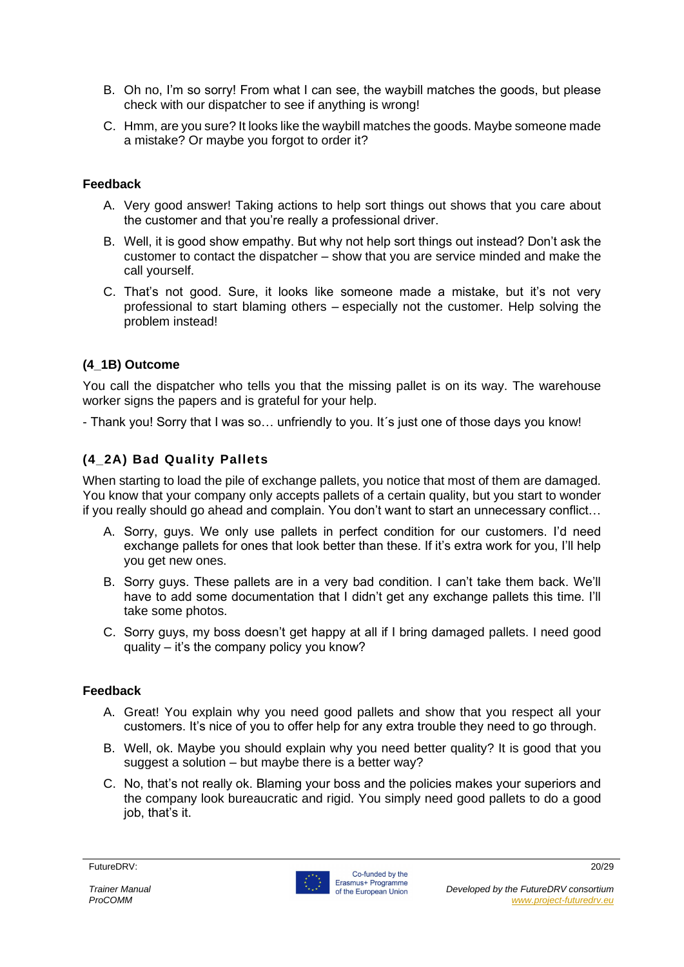- B. Oh no, I'm so sorry! From what I can see, the waybill matches the goods, but please check with our dispatcher to see if anything is wrong!
- C. Hmm, are you sure? It looks like the waybill matches the goods. Maybe someone made a mistake? Or maybe you forgot to order it?

#### **Feedback**

- A. Very good answer! Taking actions to help sort things out shows that you care about the customer and that you're really a professional driver.
- B. Well, it is good show empathy. But why not help sort things out instead? Don't ask the customer to contact the dispatcher – show that you are service minded and make the call yourself.
- C. That's not good. Sure, it looks like someone made a mistake, but it's not very professional to start blaming others – especially not the customer. Help solving the problem instead!

#### **(4\_1B) Outcome**

You call the dispatcher who tells you that the missing pallet is on its way. The warehouse worker signs the papers and is grateful for your help.

- Thank you! Sorry that I was so… unfriendly to you. It´s just one of those days you know!

#### **(4\_2A) Bad Quality Pallets**

When starting to load the pile of exchange pallets, you notice that most of them are damaged. You know that your company only accepts pallets of a certain quality, but you start to wonder if you really should go ahead and complain. You don't want to start an unnecessary conflict…

- A. Sorry, guys. We only use pallets in perfect condition for our customers. I'd need exchange pallets for ones that look better than these. If it's extra work for you, I'll help you get new ones.
- B. Sorry guys. These pallets are in a very bad condition. I can't take them back. We'll have to add some documentation that I didn't get any exchange pallets this time. I'll take some photos.
- C. Sorry guys, my boss doesn't get happy at all if I bring damaged pallets. I need good quality – it's the company policy you know?

#### **Feedback**

- A. Great! You explain why you need good pallets and show that you respect all your customers. It's nice of you to offer help for any extra trouble they need to go through.
- B. Well, ok. Maybe you should explain why you need better quality? It is good that you suggest a solution – but maybe there is a better way?
- C. No, that's not really ok. Blaming your boss and the policies makes your superiors and the company look bureaucratic and rigid. You simply need good pallets to do a good iob, that's it.

#### FutureDRV: 20/29

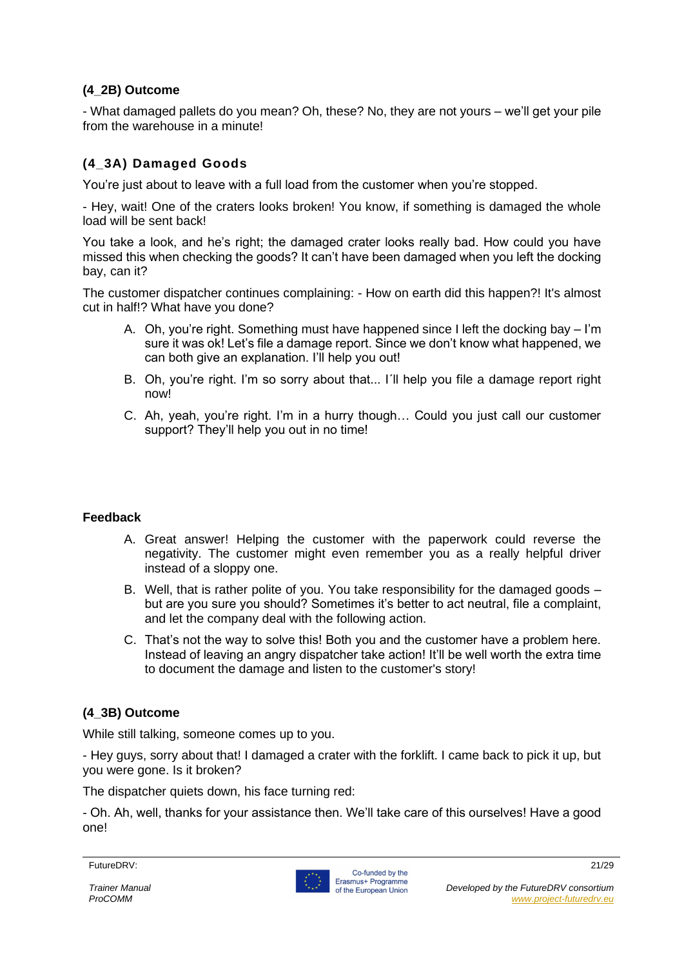#### **(4\_2B) Outcome**

- What damaged pallets do you mean? Oh, these? No, they are not yours – we'll get your pile from the warehouse in a minute!

#### **(4\_3A) Damaged Goods**

You're just about to leave with a full load from the customer when you're stopped.

- Hey, wait! One of the craters looks broken! You know, if something is damaged the whole load will be sent back!

You take a look, and he's right; the damaged crater looks really bad. How could you have missed this when checking the goods? It can't have been damaged when you left the docking bay, can it?

The customer dispatcher continues complaining: - How on earth did this happen?! It's almost cut in half!? What have you done?

- A. Oh, you're right. Something must have happened since I left the docking bay I'm sure it was ok! Let's file a damage report. Since we don't know what happened, we can both give an explanation. I'll help you out!
- B. Oh, you're right. I'm so sorry about that... I´ll help you file a damage report right now!
- C. Ah, yeah, you're right. I'm in a hurry though… Could you just call our customer support? They'll help you out in no time!

#### **Feedback**

- A. Great answer! Helping the customer with the paperwork could reverse the negativity. The customer might even remember you as a really helpful driver instead of a sloppy one.
- B. Well, that is rather polite of you. You take responsibility for the damaged goods but are you sure you should? Sometimes it's better to act neutral, file a complaint, and let the company deal with the following action.
- C. That's not the way to solve this! Both you and the customer have a problem here. Instead of leaving an angry dispatcher take action! It'll be well worth the extra time to document the damage and listen to the customer's story!

#### **(4\_3B) Outcome**

While still talking, someone comes up to you.

- Hey guys, sorry about that! I damaged a crater with the forklift. I came back to pick it up, but you were gone. Is it broken?

The dispatcher quiets down, his face turning red:

- Oh. Ah, well, thanks for your assistance then. We'll take care of this ourselves! Have a good one!



FutureDRV: 21/29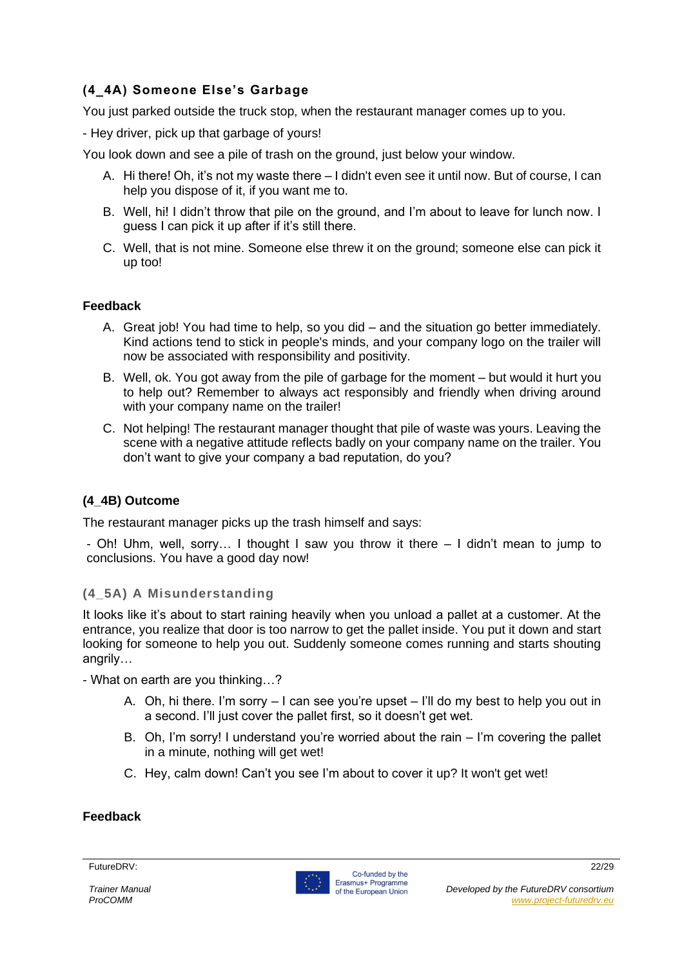#### **(4\_4A) Someone Else's Garbage**

You just parked outside the truck stop, when the restaurant manager comes up to you.

- Hey driver, pick up that garbage of yours!

You look down and see a pile of trash on the ground, just below your window.

- A. Hi there! Oh, it's not my waste there I didn't even see it until now. But of course, I can help you dispose of it, if you want me to.
- B. Well, hi! I didn't throw that pile on the ground, and I'm about to leave for lunch now. I guess I can pick it up after if it's still there.
- C. Well, that is not mine. Someone else threw it on the ground; someone else can pick it up too!

#### **Feedback**

- A. Great job! You had time to help, so you did and the situation go better immediately. Kind actions tend to stick in people's minds, and your company logo on the trailer will now be associated with responsibility and positivity.
- B. Well, ok. You got away from the pile of garbage for the moment but would it hurt you to help out? Remember to always act responsibly and friendly when driving around with your company name on the trailer!
- C. Not helping! The restaurant manager thought that pile of waste was yours. Leaving the scene with a negative attitude reflects badly on your company name on the trailer. You don't want to give your company a bad reputation, do you?

#### **(4\_4B) Outcome**

The restaurant manager picks up the trash himself and says:

- Oh! Uhm, well, sorry… I thought I saw you throw it there – I didn't mean to jump to conclusions. You have a good day now!

#### **(4\_5A) A Misunderstanding**

It looks like it's about to start raining heavily when you unload a pallet at a customer. At the entrance, you realize that door is too narrow to get the pallet inside. You put it down and start looking for someone to help you out. Suddenly someone comes running and starts shouting angrily…

- What on earth are you thinking…?

- A. Oh, hi there. I'm sorry  $-1$  can see you're upset  $-1$ 'll do my best to help you out in a second. I'll just cover the pallet first, so it doesn't get wet.
- B. Oh, I'm sorry! I understand you're worried about the rain I'm covering the pallet in a minute, nothing will get wet!
- C. Hey, calm down! Can't you see I'm about to cover it up? It won't get wet!

#### **Feedback**



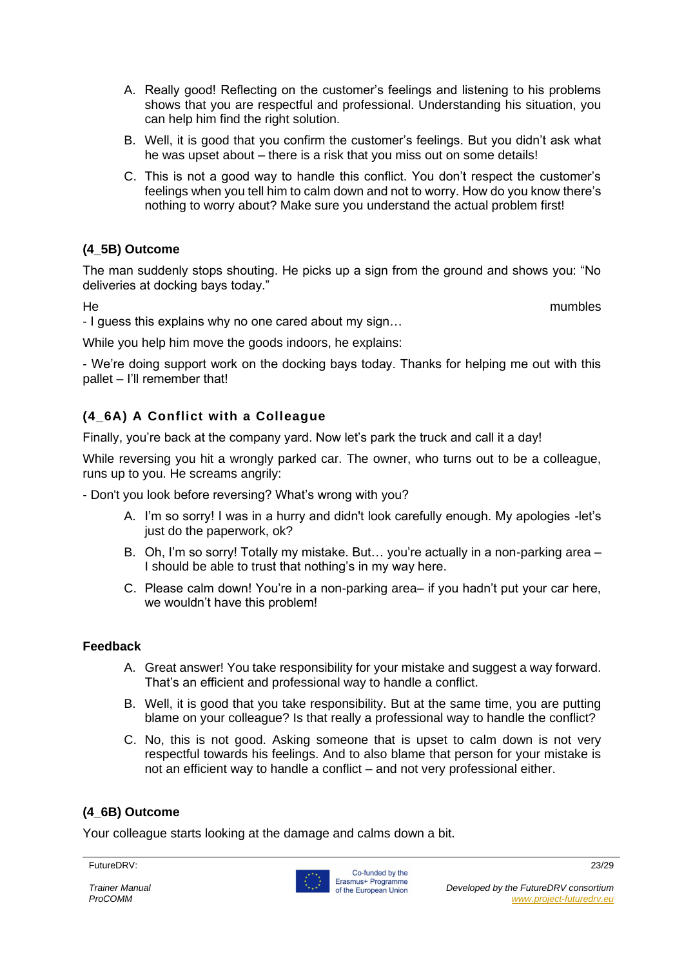- A. Really good! Reflecting on the customer's feelings and listening to his problems shows that you are respectful and professional. Understanding his situation, you can help him find the right solution.
- B. Well, it is good that you confirm the customer's feelings. But you didn't ask what he was upset about – there is a risk that you miss out on some details!
- C. This is not a good way to handle this conflict. You don't respect the customer's feelings when you tell him to calm down and not to worry. How do you know there's nothing to worry about? Make sure you understand the actual problem first!

#### **(4\_5B) Outcome**

The man suddenly stops shouting. He picks up a sign from the ground and shows you: "No deliveries at docking bays today."

He mumbles

- I guess this explains why no one cared about my sign…

While you help him move the goods indoors, he explains:

- We're doing support work on the docking bays today. Thanks for helping me out with this pallet – I'll remember that!

#### **(4\_6A) A Conflict with a Colleague**

Finally, you're back at the company yard. Now let's park the truck and call it a day!

While reversing you hit a wrongly parked car. The owner, who turns out to be a colleague, runs up to you. He screams angrily:

- Don't you look before reversing? What's wrong with you?

- A. I'm so sorry! I was in a hurry and didn't look carefully enough. My apologies -let's just do the paperwork, ok?
- B. Oh, I'm so sorry! Totally my mistake. But… you're actually in a non-parking area I should be able to trust that nothing's in my way here.
- C. Please calm down! You're in a non-parking area– if you hadn't put your car here, we wouldn't have this problem!

#### **Feedback**

- A. Great answer! You take responsibility for your mistake and suggest a way forward. That's an efficient and professional way to handle a conflict.
- B. Well, it is good that you take responsibility. But at the same time, you are putting blame on your colleague? Is that really a professional way to handle the conflict?
- C. No, this is not good. Asking someone that is upset to calm down is not very respectful towards his feelings. And to also blame that person for your mistake is not an efficient way to handle a conflict – and not very professional either.

#### **(4\_6B) Outcome**

Your colleague starts looking at the damage and calms down a bit.

FutureDRV: 23/29

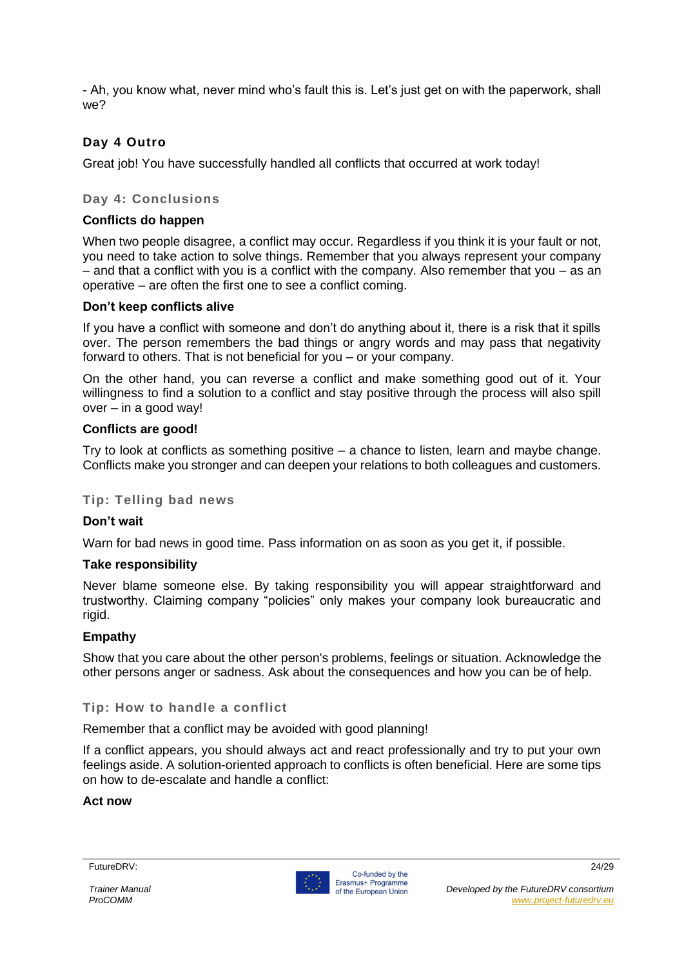- Ah, you know what, never mind who's fault this is. Let's just get on with the paperwork, shall we?

#### **Day 4 Outro**

Great job! You have successfully handled all conflicts that occurred at work today!

#### **Day 4: Conclusions**

#### **Conflicts do happen**

When two people disagree, a conflict may occur. Regardless if you think it is your fault or not, you need to take action to solve things. Remember that you always represent your company  $-$  and that a conflict with you is a conflict with the company. Also remember that you  $-$  as an operative – are often the first one to see a conflict coming.

#### **Don't keep conflicts alive**

If you have a conflict with someone and don't do anything about it, there is a risk that it spills over. The person remembers the bad things or angry words and may pass that negativity forward to others. That is not beneficial for you – or your company.

On the other hand, you can reverse a conflict and make something good out of it. Your willingness to find a solution to a conflict and stay positive through the process will also spill over – in a good way!

#### **Conflicts are good!**

Try to look at conflicts as something positive – a chance to listen, learn and maybe change. Conflicts make you stronger and can deepen your relations to both colleagues and customers.

#### **Tip: Telling bad news**

#### **Don't wait**

Warn for bad news in good time. Pass information on as soon as you get it, if possible.

#### **Take responsibility**

Never blame someone else. By taking responsibility you will appear straightforward and trustworthy. Claiming company "policies" only makes your company look bureaucratic and rigid.

#### **Empathy**

Show that you care about the other person's problems, feelings or situation. Acknowledge the other persons anger or sadness. Ask about the consequences and how you can be of help.

#### **Tip: How to handle a conflict**

Remember that a conflict may be avoided with good planning!

If a conflict appears, you should always act and react professionally and try to put your own feelings aside. A solution-oriented approach to conflicts is often beneficial. Here are some tips on how to de-escalate and handle a conflict:

#### **Act now**

#### FutureDRV: 24/29

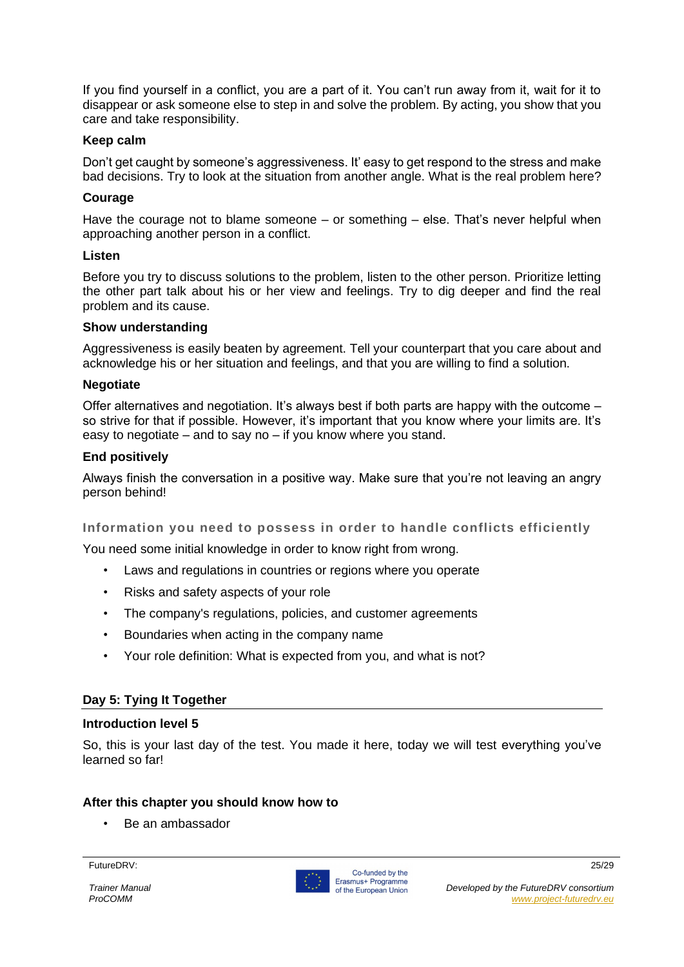If you find yourself in a conflict, you are a part of it. You can't run away from it, wait for it to disappear or ask someone else to step in and solve the problem. By acting, you show that you care and take responsibility.

#### **Keep calm**

Don't get caught by someone's aggressiveness. It' easy to get respond to the stress and make bad decisions. Try to look at the situation from another angle. What is the real problem here?

#### **Courage**

Have the courage not to blame someone – or something – else. That's never helpful when approaching another person in a conflict.

#### **Listen**

Before you try to discuss solutions to the problem, listen to the other person. Prioritize letting the other part talk about his or her view and feelings. Try to dig deeper and find the real problem and its cause.

#### **Show understanding**

Aggressiveness is easily beaten by agreement. Tell your counterpart that you care about and acknowledge his or her situation and feelings, and that you are willing to find a solution.

#### **Negotiate**

Offer alternatives and negotiation. It's always best if both parts are happy with the outcome – so strive for that if possible. However, it's important that you know where your limits are. It's easy to negotiate – and to say no – if you know where you stand.

#### **End positively**

Always finish the conversation in a positive way. Make sure that you're not leaving an angry person behind!

#### **Information you need to possess in order to handle conflicts efficiently**

You need some initial knowledge in order to know right from wrong.

- Laws and regulations in countries or regions where you operate
- Risks and safety aspects of your role
- The company's regulations, policies, and customer agreements
- Boundaries when acting in the company name
- Your role definition: What is expected from you, and what is not?

#### **Day 5: Tying It Together**

#### **Introduction level 5**

So, this is your last day of the test. You made it here, today we will test everything you've learned so far!

#### **After this chapter you should know how to**

• Be an ambassador

#### FutureDRV: 25/29

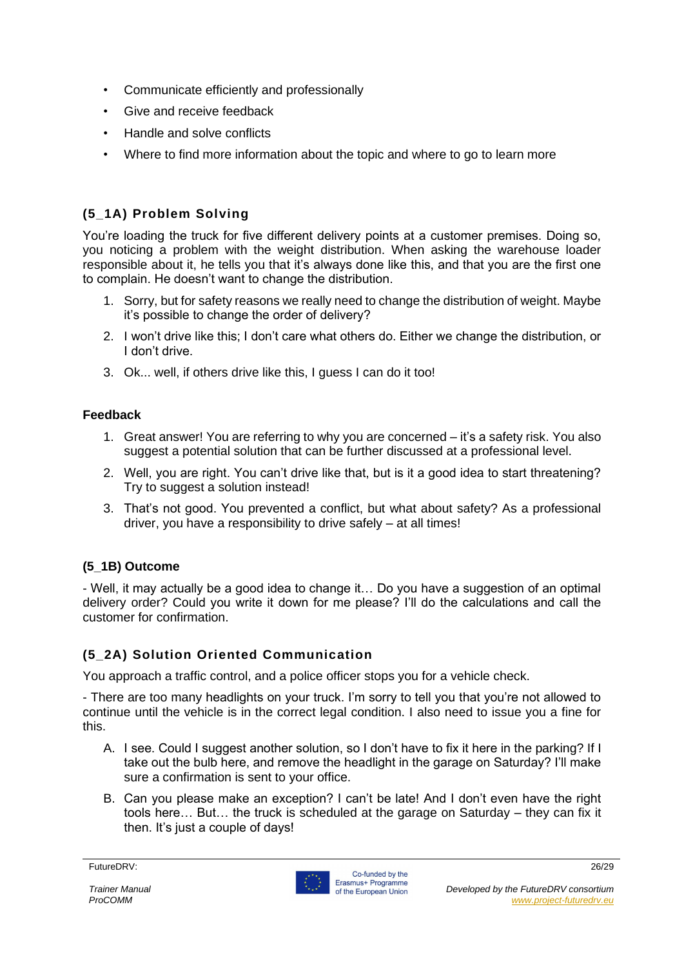- Communicate efficiently and professionally
- Give and receive feedback
- Handle and solve conflicts
- Where to find more information about the topic and where to go to learn more

#### **(5\_1A) Problem Solving**

You're loading the truck for five different delivery points at a customer premises. Doing so, you noticing a problem with the weight distribution. When asking the warehouse loader responsible about it, he tells you that it's always done like this, and that you are the first one to complain. He doesn't want to change the distribution.

- 1. Sorry, but for safety reasons we really need to change the distribution of weight. Maybe it's possible to change the order of delivery?
- 2. I won't drive like this; I don't care what others do. Either we change the distribution, or I don't drive.
- 3. Ok... well, if others drive like this, I guess I can do it too!

#### **Feedback**

- 1. Great answer! You are referring to why you are concerned it's a safety risk. You also suggest a potential solution that can be further discussed at a professional level.
- 2. Well, you are right. You can't drive like that, but is it a good idea to start threatening? Try to suggest a solution instead!
- 3. That's not good. You prevented a conflict, but what about safety? As a professional driver, you have a responsibility to drive safely – at all times!

#### **(5\_1B) Outcome**

- Well, it may actually be a good idea to change it… Do you have a suggestion of an optimal delivery order? Could you write it down for me please? I'll do the calculations and call the customer for confirmation.

#### **(5\_2A) Solution Oriented Communication**

You approach a traffic control, and a police officer stops you for a vehicle check.

- There are too many headlights on your truck. I'm sorry to tell you that you're not allowed to continue until the vehicle is in the correct legal condition. I also need to issue you a fine for this.

- A. I see. Could I suggest another solution, so I don't have to fix it here in the parking? If I take out the bulb here, and remove the headlight in the garage on Saturday? I'll make sure a confirmation is sent to your office.
- B. Can you please make an exception? I can't be late! And I don't even have the right tools here… But… the truck is scheduled at the garage on Saturday – they can fix it then. It's just a couple of days!

FutureDRV: 26/29

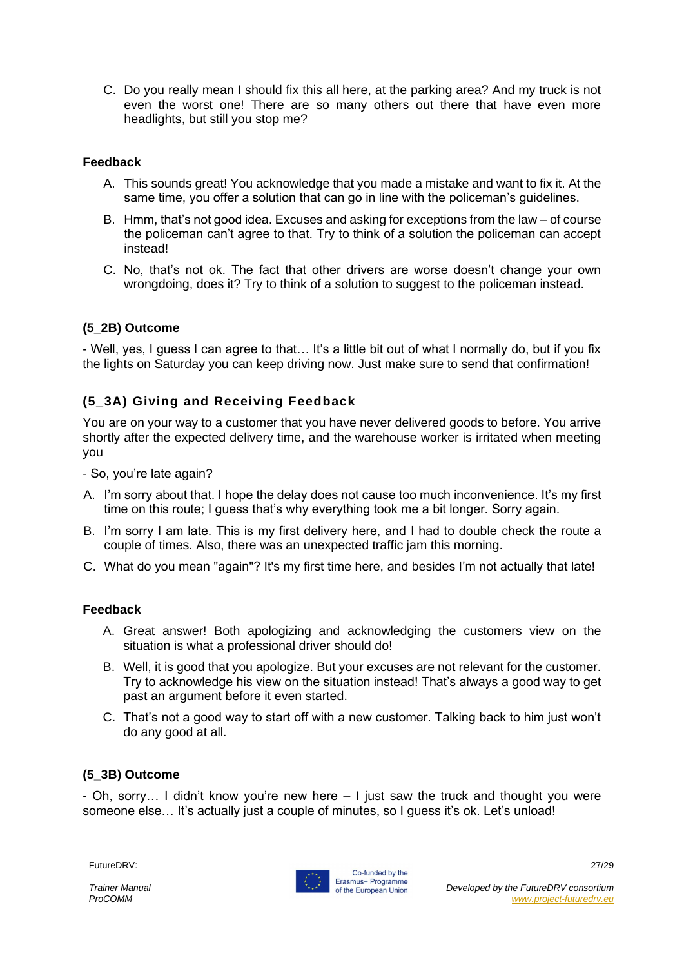C. Do you really mean I should fix this all here, at the parking area? And my truck is not even the worst one! There are so many others out there that have even more headlights, but still you stop me?

#### **Feedback**

- A. This sounds great! You acknowledge that you made a mistake and want to fix it. At the same time, you offer a solution that can go in line with the policeman's guidelines.
- B. Hmm, that's not good idea. Excuses and asking for exceptions from the law of course the policeman can't agree to that. Try to think of a solution the policeman can accept instead!
- C. No, that's not ok. The fact that other drivers are worse doesn't change your own wrongdoing, does it? Try to think of a solution to suggest to the policeman instead.

#### **(5\_2B) Outcome**

- Well, yes, I guess I can agree to that… It's a little bit out of what I normally do, but if you fix the lights on Saturday you can keep driving now. Just make sure to send that confirmation!

#### **(5\_3A) Giving and Receiving Feedback**

You are on your way to a customer that you have never delivered goods to before. You arrive shortly after the expected delivery time, and the warehouse worker is irritated when meeting you

- So, you're late again?

- A. I'm sorry about that. I hope the delay does not cause too much inconvenience. It's my first time on this route; I guess that's why everything took me a bit longer. Sorry again.
- B. I'm sorry I am late. This is my first delivery here, and I had to double check the route a couple of times. Also, there was an unexpected traffic jam this morning.
- C. What do you mean "again"? It's my first time here, and besides I'm not actually that late!

#### **Feedback**

- A. Great answer! Both apologizing and acknowledging the customers view on the situation is what a professional driver should do!
- B. Well, it is good that you apologize. But your excuses are not relevant for the customer. Try to acknowledge his view on the situation instead! That's always a good way to get past an argument before it even started.
- C. That's not a good way to start off with a new customer. Talking back to him just won't do any good at all.

#### **(5\_3B) Outcome**

- Oh, sorry… I didn't know you're new here – I just saw the truck and thought you were someone else... It's actually just a couple of minutes, so I guess it's ok. Let's unload!

#### FutureDRV: 27/29

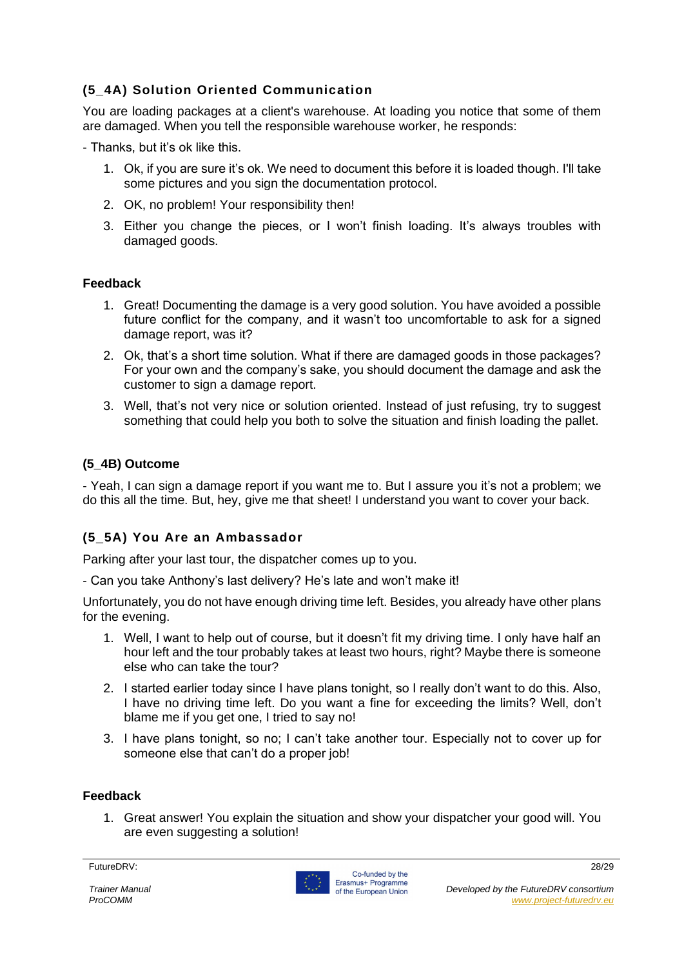#### **(5\_4A) Solution Oriented Communication**

You are loading packages at a client's warehouse. At loading you notice that some of them are damaged. When you tell the responsible warehouse worker, he responds:

- Thanks, but it's ok like this.

- 1. Ok, if you are sure it's ok. We need to document this before it is loaded though. I'll take some pictures and you sign the documentation protocol.
- 2. OK, no problem! Your responsibility then!
- 3. Either you change the pieces, or I won't finish loading. It's always troubles with damaged goods.

#### **Feedback**

- 1. Great! Documenting the damage is a very good solution. You have avoided a possible future conflict for the company, and it wasn't too uncomfortable to ask for a signed damage report, was it?
- 2. Ok, that's a short time solution. What if there are damaged goods in those packages? For your own and the company's sake, you should document the damage and ask the customer to sign a damage report.
- 3. Well, that's not very nice or solution oriented. Instead of just refusing, try to suggest something that could help you both to solve the situation and finish loading the pallet.

#### **(5\_4B) Outcome**

- Yeah, I can sign a damage report if you want me to. But I assure you it's not a problem; we do this all the time. But, hey, give me that sheet! I understand you want to cover your back.

#### **(5\_5A) You Are an Ambassador**

Parking after your last tour, the dispatcher comes up to you.

- Can you take Anthony's last delivery? He's late and won't make it!

Unfortunately, you do not have enough driving time left. Besides, you already have other plans for the evening.

- 1. Well, I want to help out of course, but it doesn't fit my driving time. I only have half an hour left and the tour probably takes at least two hours, right? Maybe there is someone else who can take the tour?
- 2. I started earlier today since I have plans tonight, so I really don't want to do this. Also, I have no driving time left. Do you want a fine for exceeding the limits? Well, don't blame me if you get one, I tried to say no!
- 3. I have plans tonight, so no; I can't take another tour. Especially not to cover up for someone else that can't do a proper job!

#### **Feedback**

1. Great answer! You explain the situation and show your dispatcher your good will. You are even suggesting a solution!

FutureDRV: 28/29